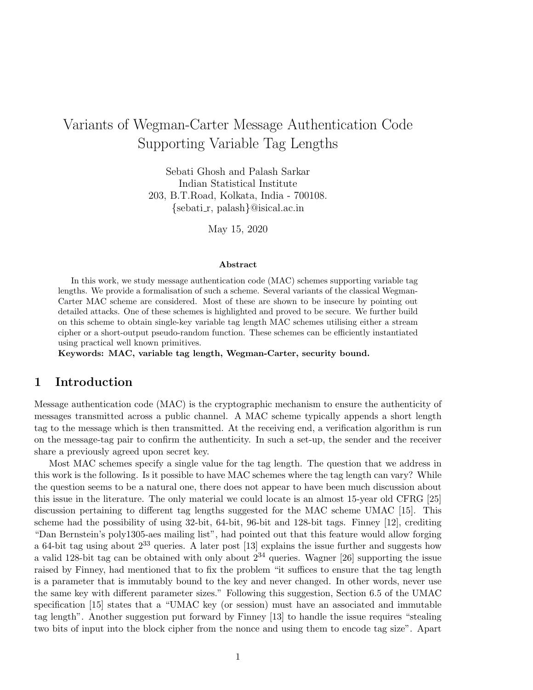# Variants of Wegman-Carter Message Authentication Code Supporting Variable Tag Lengths

Sebati Ghosh and Palash Sarkar Indian Statistical Institute 203, B.T.Road, Kolkata, India - 700108. {sebati r, palash}@isical.ac.in

May 15, 2020

#### Abstract

In this work, we study message authentication code (MAC) schemes supporting variable tag lengths. We provide a formalisation of such a scheme. Several variants of the classical Wegman-Carter MAC scheme are considered. Most of these are shown to be insecure by pointing out detailed attacks. One of these schemes is highlighted and proved to be secure. We further build on this scheme to obtain single-key variable tag length MAC schemes utilising either a stream cipher or a short-output pseudo-random function. These schemes can be efficiently instantiated using practical well known primitives.

Keywords: MAC, variable tag length, Wegman-Carter, security bound.

### 1 Introduction

Message authentication code (MAC) is the cryptographic mechanism to ensure the authenticity of messages transmitted across a public channel. A MAC scheme typically appends a short length tag to the message which is then transmitted. At the receiving end, a verification algorithm is run on the message-tag pair to confirm the authenticity. In such a set-up, the sender and the receiver share a previously agreed upon secret key.

Most MAC schemes specify a single value for the tag length. The question that we address in this work is the following. Is it possible to have MAC schemes where the tag length can vary? While the question seems to be a natural one, there does not appear to have been much discussion about this issue in the literature. The only material we could locate is an almost 15-year old CFRG [25] discussion pertaining to different tag lengths suggested for the MAC scheme UMAC [15]. This scheme had the possibility of using 32-bit, 64-bit, 96-bit and 128-bit tags. Finney [12], crediting "Dan Bernstein's poly1305-aes mailing list", had pointed out that this feature would allow forging a 64-bit tag using about  $2^{33}$  queries. A later post [13] explains the issue further and suggests how a valid 128-bit tag can be obtained with only about  $2^{34}$  queries. Wagner [26] supporting the issue raised by Finney, had mentioned that to fix the problem "it suffices to ensure that the tag length is a parameter that is immutably bound to the key and never changed. In other words, never use the same key with different parameter sizes." Following this suggestion, Section 6.5 of the UMAC specification [15] states that a "UMAC key (or session) must have an associated and immutable tag length". Another suggestion put forward by Finney [13] to handle the issue requires "stealing two bits of input into the block cipher from the nonce and using them to encode tag size". Apart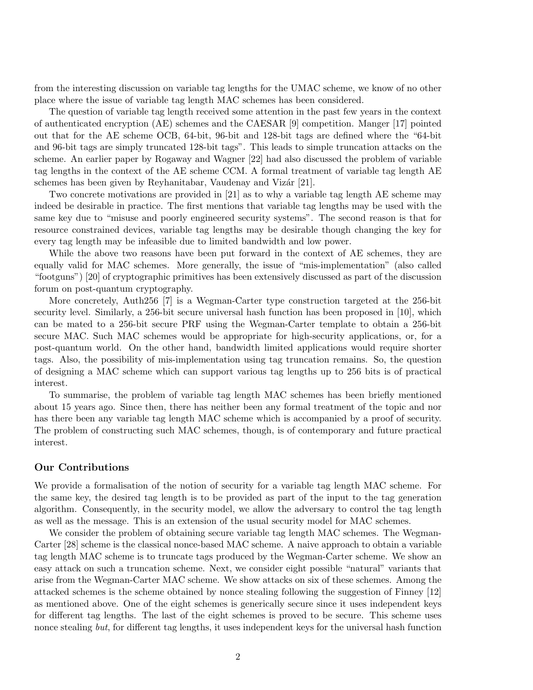from the interesting discussion on variable tag lengths for the UMAC scheme, we know of no other place where the issue of variable tag length MAC schemes has been considered.

The question of variable tag length received some attention in the past few years in the context of authenticated encryption (AE) schemes and the CAESAR [9] competition. Manger [17] pointed out that for the AE scheme OCB, 64-bit, 96-bit and 128-bit tags are defined where the "64-bit and 96-bit tags are simply truncated 128-bit tags". This leads to simple truncation attacks on the scheme. An earlier paper by Rogaway and Wagner [22] had also discussed the problem of variable tag lengths in the context of the AE scheme CCM. A formal treatment of variable tag length AE schemes has been given by Reyhanitabar, Vaudenay and Vizár [21].

Two concrete motivations are provided in [21] as to why a variable tag length AE scheme may indeed be desirable in practice. The first mentions that variable tag lengths may be used with the same key due to "misuse and poorly engineered security systems". The second reason is that for resource constrained devices, variable tag lengths may be desirable though changing the key for every tag length may be infeasible due to limited bandwidth and low power.

While the above two reasons have been put forward in the context of AE schemes, they are equally valid for MAC schemes. More generally, the issue of "mis-implementation" (also called "footguns") [20] of cryptographic primitives has been extensively discussed as part of the discussion forum on post-quantum cryptography.

More concretely, Auth256 [7] is a Wegman-Carter type construction targeted at the 256-bit security level. Similarly, a 256-bit secure universal hash function has been proposed in [10], which can be mated to a 256-bit secure PRF using the Wegman-Carter template to obtain a 256-bit secure MAC. Such MAC schemes would be appropriate for high-security applications, or, for a post-quantum world. On the other hand, bandwidth limited applications would require shorter tags. Also, the possibility of mis-implementation using tag truncation remains. So, the question of designing a MAC scheme which can support various tag lengths up to 256 bits is of practical interest.

To summarise, the problem of variable tag length MAC schemes has been briefly mentioned about 15 years ago. Since then, there has neither been any formal treatment of the topic and nor has there been any variable tag length MAC scheme which is accompanied by a proof of security. The problem of constructing such MAC schemes, though, is of contemporary and future practical interest.

### Our Contributions

We provide a formalisation of the notion of security for a variable tag length MAC scheme. For the same key, the desired tag length is to be provided as part of the input to the tag generation algorithm. Consequently, in the security model, we allow the adversary to control the tag length as well as the message. This is an extension of the usual security model for MAC schemes.

We consider the problem of obtaining secure variable tag length MAC schemes. The Wegman-Carter [28] scheme is the classical nonce-based MAC scheme. A naive approach to obtain a variable tag length MAC scheme is to truncate tags produced by the Wegman-Carter scheme. We show an easy attack on such a truncation scheme. Next, we consider eight possible "natural" variants that arise from the Wegman-Carter MAC scheme. We show attacks on six of these schemes. Among the attacked schemes is the scheme obtained by nonce stealing following the suggestion of Finney [12] as mentioned above. One of the eight schemes is generically secure since it uses independent keys for different tag lengths. The last of the eight schemes is proved to be secure. This scheme uses nonce stealing but, for different tag lengths, it uses independent keys for the universal hash function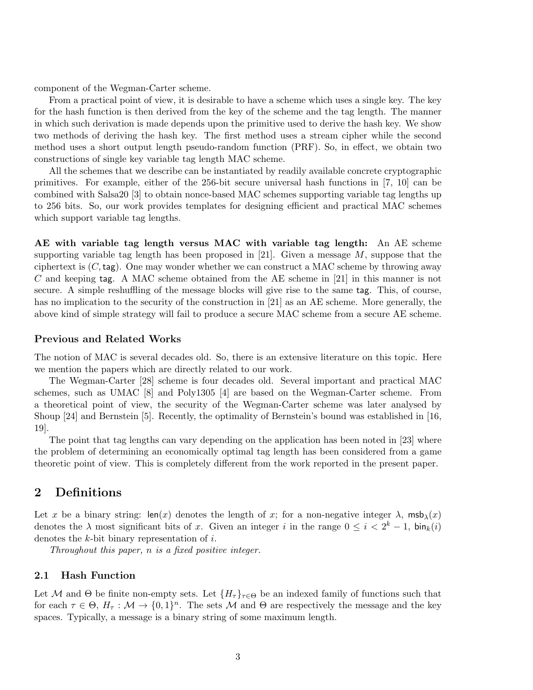component of the Wegman-Carter scheme.

From a practical point of view, it is desirable to have a scheme which uses a single key. The key for the hash function is then derived from the key of the scheme and the tag length. The manner in which such derivation is made depends upon the primitive used to derive the hash key. We show two methods of deriving the hash key. The first method uses a stream cipher while the second method uses a short output length pseudo-random function (PRF). So, in effect, we obtain two constructions of single key variable tag length MAC scheme.

All the schemes that we describe can be instantiated by readily available concrete cryptographic primitives. For example, either of the 256-bit secure universal hash functions in [7, 10] can be combined with Salsa20 [3] to obtain nonce-based MAC schemes supporting variable tag lengths up to 256 bits. So, our work provides templates for designing efficient and practical MAC schemes which support variable tag lengths.

AE with variable tag length versus MAC with variable tag length: An AE scheme supporting variable tag length has been proposed in [21]. Given a message  $M$ , suppose that the ciphertext is  $(C, \text{tag})$ . One may wonder whether we can construct a MAC scheme by throwing away C and keeping tag. A MAC scheme obtained from the AE scheme in [21] in this manner is not secure. A simple reshuffling of the message blocks will give rise to the same tag. This, of course, has no implication to the security of the construction in [21] as an AE scheme. More generally, the above kind of simple strategy will fail to produce a secure MAC scheme from a secure AE scheme.

#### Previous and Related Works

The notion of MAC is several decades old. So, there is an extensive literature on this topic. Here we mention the papers which are directly related to our work.

The Wegman-Carter [28] scheme is four decades old. Several important and practical MAC schemes, such as UMAC [8] and Poly1305 [4] are based on the Wegman-Carter scheme. From a theoretical point of view, the security of the Wegman-Carter scheme was later analysed by Shoup [24] and Bernstein [5]. Recently, the optimality of Bernstein's bound was established in [16, 19].

The point that tag lengths can vary depending on the application has been noted in [23] where the problem of determining an economically optimal tag length has been considered from a game theoretic point of view. This is completely different from the work reported in the present paper.

### 2 Definitions

Let x be a binary string: len(x) denotes the length of x; for a non-negative integer  $\lambda$ , msb<sub> $\lambda$ </sub>(x) denotes the  $\lambda$  most significant bits of x. Given an integer i in the range  $0 \leq i < 2^k - 1$ ,  $\sin_k(i)$ denotes the k-bit binary representation of i.

Throughout this paper, n is a fixed positive integer.

#### 2.1 Hash Function

Let M and  $\Theta$  be finite non-empty sets. Let  $\{H_\tau\}_{\tau \in \Theta}$  be an indexed family of functions such that for each  $\tau \in \Theta$ ,  $H_{\tau} : \mathcal{M} \to \{0,1\}^n$ . The sets  $\mathcal M$  and  $\Theta$  are respectively the message and the key spaces. Typically, a message is a binary string of some maximum length.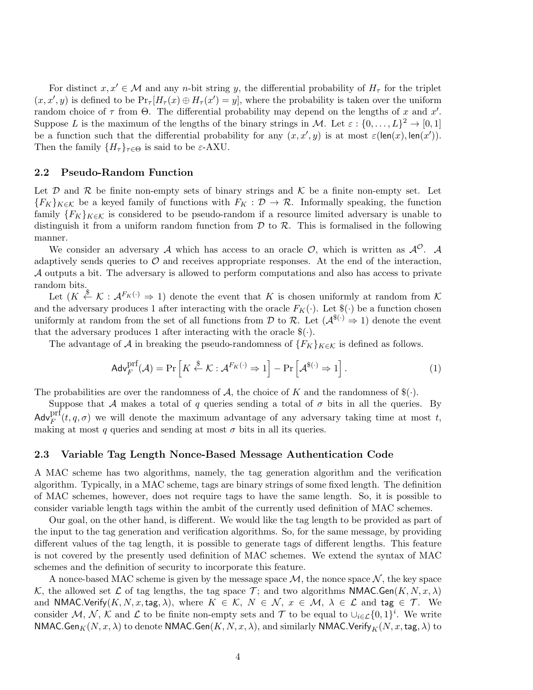For distinct  $x, x' \in \mathcal{M}$  and any *n*-bit string y, the differential probability of  $H<sub>\tau</sub>$  for the triplet  $(x, x', y)$  is defined to be  $Pr_{\tau}[H_{\tau}(x) \oplus H_{\tau}(x') = y]$ , where the probability is taken over the uniform random choice of  $\tau$  from  $\Theta$ . The differential probability may depend on the lengths of x and x'. Suppose L is the maximum of the lengths of the binary strings in M. Let  $\varepsilon : \{0, \ldots, L\}^2 \to [0, 1]$ be a function such that the differential probability for any  $(x, x', y)$  is at most  $\varepsilon(\text{len}(x), \text{len}(x'))$ . Then the family  $\{H_{\tau}\}_{{\tau \in \Theta}}$  is said to be  ${\varepsilon}$ -AXU.

#### 2.2 Pseudo-Random Function

Let  $\mathcal D$  and  $\mathcal R$  be finite non-empty sets of binary strings and  $\mathcal K$  be a finite non-empty set. Let  ${F_K}_{K\in\mathcal{K}}$  be a keyed family of functions with  $F_K: \mathcal{D} \to \mathcal{R}$ . Informally speaking, the function family  ${F_K}_{K\in\mathcal{K}}$  is considered to be pseudo-random if a resource limited adversary is unable to distinguish it from a uniform random function from  $\mathcal D$  to  $\mathcal R$ . This is formalised in the following manner.

We consider an adversary A which has access to an oracle  $\mathcal{O}$ , which is written as  $\mathcal{A}^{\mathcal{O}}$ . A adaptively sends queries to  $\mathcal O$  and receives appropriate responses. At the end of the interaction, A outputs a bit. The adversary is allowed to perform computations and also has access to private random bits.

Let  $(K \stackrel{\$}{\leftarrow} \mathcal{K} : \mathcal{A}^{F_K(\cdot)} \Rightarrow 1)$  denote the event that K is chosen uniformly at random from K and the adversary produces 1 after interacting with the oracle  $F_K(\cdot)$ . Let  $(\cdot)$  be a function chosen uniformly at random from the set of all functions from  $\mathcal D$  to  $\mathcal R$ . Let  $(\mathcal A^{\$(\cdot)} \Rightarrow 1)$  denote the event that the adversary produces 1 after interacting with the oracle  $\mathcal{F}(\cdot)$ .

The advantage of A in breaking the pseudo-randomness of  $\{F_K\}_{K\in\mathcal{K}}$  is defined as follows.

$$
\mathsf{Adv}_{F}^{\mathrm{prf}}(\mathcal{A}) = \Pr\left[K \stackrel{\$}{\leftarrow} \mathcal{K} : \mathcal{A}^{F_{K}(\cdot)} \Rightarrow 1\right] - \Pr\left[\mathcal{A}^{\$(\cdot)} \Rightarrow 1\right].\tag{1}
$$

The probabilities are over the randomness of A, the choice of K and the randomness of  $(\cdot)$ .

Suppose that A makes a total of q queries sending a total of  $\sigma$  bits in all the queries. By  $\mathsf{Adv}_{F}^{\text{prf}}(t, q, \sigma)$  we will denote the maximum advantage of any adversary taking time at most t, making at most q queries and sending at most  $\sigma$  bits in all its queries.

#### 2.3 Variable Tag Length Nonce-Based Message Authentication Code

A MAC scheme has two algorithms, namely, the tag generation algorithm and the verification algorithm. Typically, in a MAC scheme, tags are binary strings of some fixed length. The definition of MAC schemes, however, does not require tags to have the same length. So, it is possible to consider variable length tags within the ambit of the currently used definition of MAC schemes.

Our goal, on the other hand, is different. We would like the tag length to be provided as part of the input to the tag generation and verification algorithms. So, for the same message, by providing different values of the tag length, it is possible to generate tags of different lengths. This feature is not covered by the presently used definition of MAC schemes. We extend the syntax of MAC schemes and the definition of security to incorporate this feature.

A nonce-based MAC scheme is given by the message space  $\mathcal{M}$ , the nonce space  $\mathcal{N}$ , the key space K, the allowed set L of tag lengths, the tag space T; and two algorithms NMAC.Gen $(K, N, x, \lambda)$ and NMAC.Verify(K, N, x, tag,  $\lambda$ ), where  $K \in \mathcal{K}$ ,  $N \in \mathcal{N}$ ,  $x \in \mathcal{M}$ ,  $\lambda \in \mathcal{L}$  and tag  $\in \mathcal{T}$ . We consider M, N, K and L to be finite non-empty sets and T to be equal to  $\cup_{i\in\mathcal{L}}\{0,1\}^i$ . We write NMAC.Gen $_K(N, x, \lambda)$  to denote NMAC.Gen $(K, N, x, \lambda)$ , and similarly NMAC.Verify $_K(N, x, \text{tag}, \lambda)$  to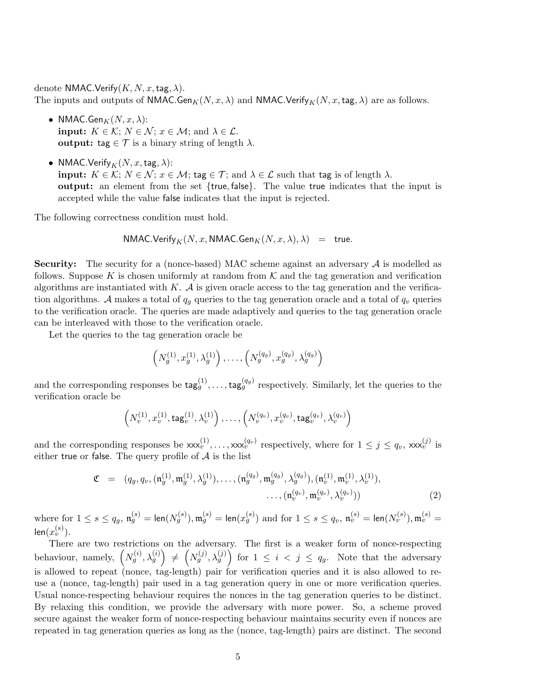denote NMAC.Verify $(K, N, x, \text{tag}, \lambda)$ . The inputs and outputs of NMAC.Gen<sub>K</sub>(N, x,  $\lambda$ ) and NMAC.Verify<sub>K</sub>(N, x, tag,  $\lambda$ ) are as follows.

- NMAC.Gen $_K(N, x, \lambda)$ : **input:**  $K \in \mathcal{K}$ ;  $N \in \mathcal{N}$ ;  $x \in \mathcal{M}$ ; and  $\lambda \in \mathcal{L}$ . output: tag  $\in \mathcal{T}$  is a binary string of length  $\lambda$ .
- NMAC.Verify  $_K(N, x, \text{tag}, \lambda)$ : input:  $K \in \mathcal{K}$ ;  $N \in \mathcal{N}$ ;  $x \in \mathcal{M}$ ; tag  $\in \mathcal{T}$ ; and  $\lambda \in \mathcal{L}$  such that tag is of length  $\lambda$ . output: an element from the set {true, false}. The value true indicates that the input is accepted while the value false indicates that the input is rejected.

The following correctness condition must hold.

$$
\mathsf{NMAC}.\mathsf{Verify}_K(N,x,\mathsf{NMAC}.\mathsf{Gen}_K(N,x,\lambda),\lambda) \quad = \quad \mathsf{true}.
$$

**Security:** The security for a (nonce-based) MAC scheme against an adversary  $\mathcal A$  is modelled as follows. Suppose K is chosen uniformly at random from  $K$  and the tag generation and verification algorithms are instantiated with K.  $\mathcal A$  is given oracle access to the tag generation and the verification algorithms. A makes a total of  $q_q$  queries to the tag generation oracle and a total of  $q_v$  queries to the verification oracle. The queries are made adaptively and queries to the tag generation oracle can be interleaved with those to the verification oracle.

Let the queries to the tag generation oracle be

$$
\left(N_g^{(1)}, x_g^{(1)}, \lambda_g^{(1)}\right), \ldots, \left(N_g^{(q_g)}, x_g^{(q_g)}, \lambda_g^{(q_g)}\right)
$$

and the corresponding responses be  $\text{tag}_g^{(1)}, \ldots, \text{tag}_g^{(q_g)}$  respectively. Similarly, let the queries to the verification oracle be

$$
\left(N_v^{(1)}, x_v^{(1)}, \text{tag}_v^{(1)}, \lambda_v^{(1)}\right), \dots, \left(N_v^{(q_v)}, x_v^{(q_v)}, \text{tag}_v^{(q_v)}, \lambda_v^{(q_v)}\right)
$$

and the corresponding responses be  $xxx_v^{(1)}, \ldots, xx_x_v^{(q_v)}$  respectively, where for  $1 \leq j \leq q_v$ ,  $xxx_v^{(j)}$  is either true or false. The query profile of  $A$  is the list

$$
\mathfrak{C} = (q_g, q_v, (\mathfrak{n}_g^{(1)}, \mathfrak{m}_g^{(1)}, \lambda_g^{(1)}), \dots, (\mathfrak{n}_g^{(q_g)}, \mathfrak{m}_g^{(q_g)}, \lambda_g^{(q_g)}), (\mathfrak{n}_v^{(1)}, \mathfrak{m}_v^{(1)}, \lambda_v^{(1)}), \dots, (\mathfrak{n}_v^{(q_v)}, \mathfrak{m}_v^{(q_v)}, \lambda_v^{(q_v)}))
$$
\n
$$
\dots, (\mathfrak{n}_v^{(q_v)}, \mathfrak{m}_v^{(q_v)}, \lambda_v^{(q_v)}))
$$
\n
$$
(2)
$$

where for  $1\leq s\leq q_g,$   $\mathfrak{n}_g^{(s)}=\textsf{len}(N_g^{(s)}),$   $\mathfrak{m}_g^{(s)}=\textsf{len}(x_g^{(s)})$  and for  $1\leq s\leq q_v,$   $\mathfrak{n}_v^{(s)}=\textsf{len}(N_v^{(s)}),$   $\mathfrak{m}_v^{(s)}=$ len $(x_v^{(s)})$ .

There are two restrictions on the adversary. The first is a weaker form of nonce-respecting behaviour, namely,  $(N_g^{(i)}, \lambda_g^{(i)}) \neq (N_g^{(j)}, \lambda_g^{(j)})$  for  $1 \leq i \leq j \leq q_g$ . Note that the adversary is allowed to repeat (nonce, tag-length) pair for verification queries and it is also allowed to reuse a (nonce, tag-length) pair used in a tag generation query in one or more verification queries. Usual nonce-respecting behaviour requires the nonces in the tag generation queries to be distinct. By relaxing this condition, we provide the adversary with more power. So, a scheme proved secure against the weaker form of nonce-respecting behaviour maintains security even if nonces are repeated in tag generation queries as long as the (nonce, tag-length) pairs are distinct. The second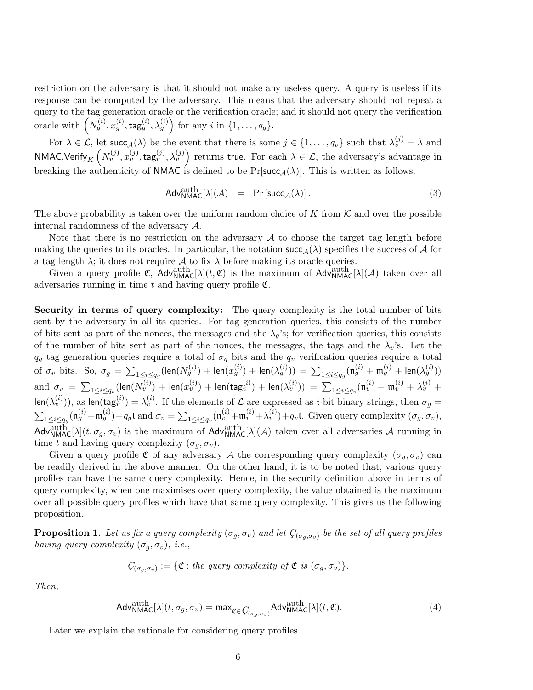restriction on the adversary is that it should not make any useless query. A query is useless if its response can be computed by the adversary. This means that the adversary should not repeat a query to the tag generation oracle or the verification oracle; and it should not query the verification oracle with  $\left(N_g^{(i)}, x_g^{(i)}, \text{tag}_g^{(i)}, \lambda_g^{(i)}\right)$  for any i in  $\{1, \ldots, q_g\}$ .

For  $\lambda \in \mathcal{L}$ , let succ<sub>A</sub>( $\lambda$ ) be the event that there is some  $j \in \{1, \ldots, q_v\}$  such that  $\lambda_v^{(j)} = \lambda$  and NMAC.Verify $_K\left(N_v^{(j)},x_v^{(j)},\mathsf{tag}_v^{(j)},\lambda_v^{(j)}\right)$  returns true. For each  $\lambda\in\mathcal{L},$  the adversary's advantage in breaking the authenticity of NMAC is defined to be  $Pr[\text{succ}_{\mathcal{A}}(\lambda)]$ . This is written as follows.

$$
Adv_{\mathsf{NMAC}}^{\text{auth}}[\lambda](\mathcal{A}) = \Pr\left[\mathsf{succ}_{\mathcal{A}}(\lambda)\right]. \tag{3}
$$

The above probability is taken over the uniform random choice of K from  $\mathcal K$  and over the possible internal randomness of the adversary A.

Note that there is no restriction on the adversary  $A$  to choose the target tag length before making the queries to its oracles. In particular, the notation  $succ_{\mathcal{A}}(\lambda)$  specifies the success of A for a tag length  $\lambda$ ; it does not require  $\mathcal A$  to fix  $\lambda$  before making its oracle queries.

Given a query profile  $\mathfrak{C}$ ,  $\text{Adv}_{\text{NMAC}}^{\text{auth}}[\lambda](t, \mathfrak{C})$  is the maximum of  $\text{Adv}_{\text{NMAC}}^{\text{auth}}[\lambda](\mathcal{A})$  taken over all adversaries running in time  $t$  and having query profile  $\mathfrak{C}$ .

Security in terms of query complexity: The query complexity is the total number of bits sent by the adversary in all its queries. For tag generation queries, this consists of the number of bits sent as part of the nonces, the messages and the  $\lambda_g$ 's; for verification queries, this consists of the number of bits sent as part of the nonces, the messages, the tags and the  $\lambda_v$ 's. Let the  $q_g$  tag generation queries require a total of  $\sigma_g$  bits and the  $q_v$  verification queries require a total of  $\sigma_v$  bits. So,  $\sigma_g$   $=$   $\sum_{1\leq i\leq q_g}(\textsf{len}(N_g^{(i)})+\textsf{len}(x_g^{(i)})+\textsf{len}(\lambda_g^{(i)}))=\sum_{1\leq i\leq q_g}(\mathfrak{n}_g^{(i)}+\mathfrak{m}_g^{(i)}+\textsf{len}(\lambda_g^{(i)}))$  $\text{and}\;\, \sigma_v \;=\; \sum_{1\leq i\leq q_v}(\textsf{len}(N_v^{(i)})+\textsf{len}(x_v^{(i)})+\textsf{len}(\textsf{tag}_v^{(i)})+\textsf{len}(\lambda_v^{(i)}))\;=\; \sum_{1\leq i\leq q_v}(\mathfrak{n}_v^{(i)}+\mathfrak{m}_v^{(i)}+\lambda_v^{(i)}+\lambda_v^{(i)})$  $\textsf{len}(\lambda_v^{(i)}))$ , as  $\textsf{len}(\textsf{tag}_v^{(i)}) = \lambda_v^{(i)}$ . If the elements of  $\mathcal L$  are expressed as t-bit binary strings, then  $\sigma_g =$  $\sum_{1 \leq i \leq q_g} (\mathfrak{n}_g^{(i)} + \mathfrak{m}_g^{(i)}) + q_g \mathfrak{t}$  and  $\sigma_v = \sum_{1 \leq i \leq q_v} (\mathfrak{n}_v^{(i)} + \mathfrak{m}_v^{(i)} + \lambda_v^{(i)}) + q_v \mathfrak{t}$ . Given query complexity  $(\sigma_g, \sigma_v)$ ,  $\text{Adv}_{\text{NMAC}}^{\text{auth}}[\lambda](t, \sigma_g, \sigma_v)$  is the maximum of  $\text{Adv}_{\text{NMAC}}^{\text{auth}}[\lambda](\mathcal{A})$  taken over all adversaries  $\mathcal A$  running in time t and having query complexity  $(\sigma_q, \sigma_v)$ .

Given a query profile  $\mathfrak C$  of any adversary A the corresponding query complexity  $(\sigma_q, \sigma_v)$  can be readily derived in the above manner. On the other hand, it is to be noted that, various query profiles can have the same query complexity. Hence, in the security definition above in terms of query complexity, when one maximises over query complexity, the value obtained is the maximum over all possible query profiles which have that same query complexity. This gives us the following proposition.

**Proposition 1.** Let us fix a query complexity  $(\sigma_g, \sigma_v)$  and let  $C_{(\sigma_g, \sigma_v)}$  be the set of all query profiles having query complexity  $(\sigma_g, \sigma_v)$ , i.e.,

$$
C_{(\sigma_g, \sigma_v)} := \{ \mathfrak{C} : the query complexity of \mathfrak{C} is (\sigma_g, \sigma_v) \}.
$$

Then,

$$
\mathsf{Adv}^{\text{auth}}_{\mathsf{NMAC}}[\lambda](t, \sigma_g, \sigma_v) = \mathsf{max}_{\mathfrak{C} \in \mathcal{G}_{(\sigma_g, \sigma_v)}} \mathsf{Adv}^{\text{auth}}_{\mathsf{NMAC}}[\lambda](t, \mathfrak{C}).\tag{4}
$$

Later we explain the rationale for considering query profiles.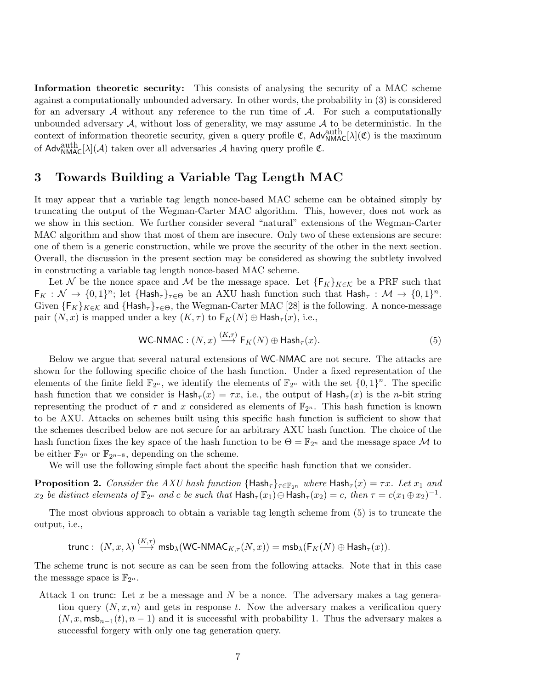Information theoretic security: This consists of analysing the security of a MAC scheme against a computationally unbounded adversary. In other words, the probability in (3) is considered for an adversary  $\mathcal A$  without any reference to the run time of  $\mathcal A$ . For such a computationally unbounded adversary  $A$ , without loss of generality, we may assume  $A$  to be deterministic. In the context of information theoretic security, given a query profile  $\mathfrak{C}$ , Adv<sub>NMAC</sub>[ $\lambda$ ]( $\mathfrak{C}$ ) is the maximum of  $\mathsf{Adv}^{\text{auth}}_{\text{NMAC}}[\lambda](\mathcal{A})$  taken over all adversaries  $\mathcal A$  having query profile  $\mathfrak C$ .

### 3 Towards Building a Variable Tag Length MAC

It may appear that a variable tag length nonce-based MAC scheme can be obtained simply by truncating the output of the Wegman-Carter MAC algorithm. This, however, does not work as we show in this section. We further consider several "natural" extensions of the Wegman-Carter MAC algorithm and show that most of them are insecure. Only two of these extensions are secure: one of them is a generic construction, while we prove the security of the other in the next section. Overall, the discussion in the present section may be considered as showing the subtlety involved in constructing a variable tag length nonce-based MAC scheme.

Let N be the nonce space and M be the message space. Let  ${F_K}_{K \in \mathcal{K}}$  be a PRF such that  $\mathsf{F}_K: \mathcal{N} \to \{0,1\}^n$ ; let  $\{\mathsf{Hash}_{\tau}\}_{{\tau \in \Theta}}$  be an AXU hash function such that  $\mathsf{Hash}_{\tau}: \mathcal{M} \to \{0,1\}^n$ . Given  $\{F_K\}_{K\in\mathcal{K}}$  and  $\{\text{Hash}_{\tau}\}_{\tau\in\Theta}$ , the Wegman-Carter MAC [28] is the following. A nonce-message pair  $(N, x)$  is mapped under a key  $(K, \tau)$  to  $F_K(N) \oplus$  Hash $_{\tau}(x)$ , i.e.,

WC-NMAC: 
$$
(N, x) \xrightarrow{(K, \tau)} \mathsf{F}_K(N) \oplus \mathsf{Hash}_{\tau}(x)
$$
. (5)

Below we argue that several natural extensions of WC-NMAC are not secure. The attacks are shown for the following specific choice of the hash function. Under a fixed representation of the elements of the finite field  $\mathbb{F}_{2^n}$ , we identify the elements of  $\mathbb{F}_{2^n}$  with the set  $\{0,1\}^n$ . The specific hash function that we consider is  $\textsf{Hash}_{\tau}(x) = \tau x$ , i.e., the output of  $\textsf{Hash}_{\tau}(x)$  is the *n*-bit string representing the product of  $\tau$  and x considered as elements of  $\mathbb{F}_{2^n}$ . This hash function is known to be AXU. Attacks on schemes built using this specific hash function is sufficient to show that the schemes described below are not secure for an arbitrary AXU hash function. The choice of the hash function fixes the key space of the hash function to be  $\Theta = \mathbb{F}_{2^n}$  and the message space M to be either  $\mathbb{F}_{2^n}$  or  $\mathbb{F}_{2^{n-8}}$ , depending on the scheme.

We will use the following simple fact about the specific hash function that we consider.

**Proposition 2.** Consider the AXU hash function  $\{\text{Hash}_{\tau}\}_{{\tau \in \mathbb{F}_{2^n}}}$  where  $\text{Hash}_{\tau}(x) = \tau x$ . Let  $x_1$  and  $x_2$  be distinct elements of  $\mathbb{F}_{2^n}$  and c be such that  $\textsf{Hash}_{\tau}(x_1) \oplus \textsf{Hash}_{\tau}(x_2) = c$ , then  $\tau = c(x_1 \oplus x_2)^{-1}$ .

The most obvious approach to obtain a variable tag length scheme from (5) is to truncate the output, i.e.,

trunc: 
$$
(N, x, \lambda) \stackrel{(\Lambda, \tau)}{\longrightarrow} \text{msb}_{\lambda}(\text{WC-NMAC}_{K,\tau}(N, x)) = \text{msb}_{\lambda}(\mathsf{F}_K(N) \oplus \text{Hash}_{\tau}(x)).
$$

 $(Y, \square)$ 

The scheme trunc is not secure as can be seen from the following attacks. Note that in this case the message space is  $\mathbb{F}_{2^n}$ .

Attack 1 on trunc: Let x be a message and N be a nonce. The adversary makes a tag generation query  $(N, x, n)$  and gets in response t. Now the adversary makes a verification query  $(N, x, \text{msb}_{n-1}(t), n-1)$  and it is successful with probability 1. Thus the adversary makes a successful forgery with only one tag generation query.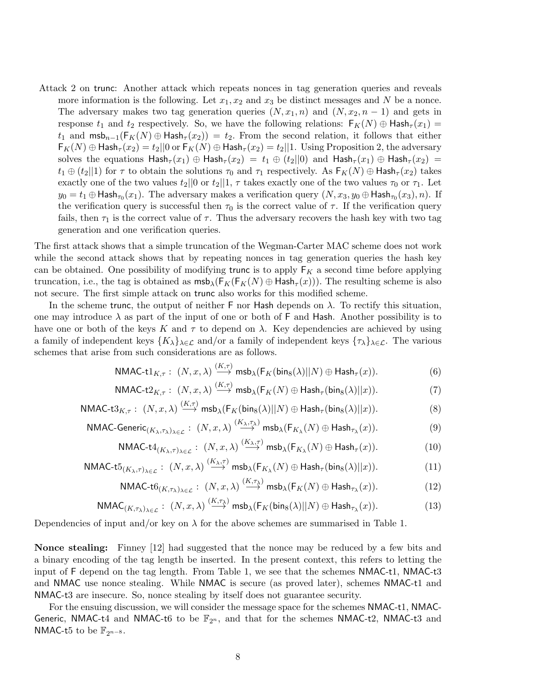Attack 2 on trunc: Another attack which repeats nonces in tag generation queries and reveals more information is the following. Let  $x_1, x_2$  and  $x_3$  be distinct messages and N be a nonce. The adversary makes two tag generation queries  $(N, x_1, n)$  and  $(N, x_2, n - 1)$  and gets in response  $t_1$  and  $t_2$  respectively. So, we have the following relations:  $F_K(N) \oplus$  Hash $\tau(x_1)$  = t<sub>1</sub> and  $\textsf{msb}_{n-1}(\mathsf{F}_K(N) \oplus \textsf{Hash}_{\tau}(x_2)) = t_2$ . From the second relation, it follows that either  $F_K(N) \oplus$  Hash $\tau(x_2) = t_2 || 0$  or  $F_K(N) \oplus$  Hash $\tau(x_2) = t_2 || 1$ . Using Proposition 2, the adversary solves the equations  $\text{Hash}_{\tau}(x_1) \oplus \text{Hash}_{\tau}(x_2) = t_1 \oplus (t_2||0)$  and  $\text{Hash}_{\tau}(x_1) \oplus \text{Hash}_{\tau}(x_2) =$  $t_1 \oplus (t_2||1)$  for  $\tau$  to obtain the solutions  $\tau_0$  and  $\tau_1$  respectively. As  $\mathsf{F}_K(N) \oplus \mathsf{Hash}_{\tau}(x_2)$  takes exactly one of the two values  $t_2||0$  or  $t_2||1$ ,  $\tau$  takes exactly one of the two values  $\tau_0$  or  $\tau_1$ . Let  $y_0 = t_1 \oplus \mathsf{Hash}_{\tau_0}(x_1)$ . The adversary makes a verification query  $(N, x_3, y_0 \oplus \mathsf{Hash}_{\tau_0}(x_3), n)$ . If the verification query is successful then  $\tau_0$  is the correct value of  $\tau$ . If the verification query fails, then  $\tau_1$  is the correct value of  $\tau$ . Thus the adversary recovers the hash key with two tag generation and one verification queries.

The first attack shows that a simple truncation of the Wegman-Carter MAC scheme does not work while the second attack shows that by repeating nonces in tag generation queries the hash key can be obtained. One possibility of modifying trunc is to apply  $F_K$  a second time before applying truncation, i.e., the tag is obtained as  $msb_{\lambda}(F_K(F_K(N) \oplus Hash_{\tau}(x)))$ . The resulting scheme is also not secure. The first simple attack on trunc also works for this modified scheme.

In the scheme trunc, the output of neither F nor Hash depends on  $\lambda$ . To rectify this situation, one may introduce  $\lambda$  as part of the input of one or both of F and Hash. Another possibility is to have one or both of the keys K and  $\tau$  to depend on  $\lambda$ . Key dependencies are achieved by using a family of independent keys  $\{K_{\lambda}\}_{\lambda \in \mathcal{L}}$  and/or a family of independent keys  $\{\tau_{\lambda}\}_{\lambda \in \mathcal{L}}$ . The various schemes that arise from such considerations are as follows.

$$
\mathsf{NMAC}\text{-tl}_{K,\tau}: (N,x,\lambda) \stackrel{(K,\tau)}{\longrightarrow} \mathsf{msb}_{\lambda}(\mathsf{F}_K(\mathsf{bin}_8(\lambda)||N) \oplus \mathsf{Hash}_\tau(x)). \tag{6}
$$

$$
\mathsf{NMAC}\text{-}t2_{K,\tau}: (N, x, \lambda) \xrightarrow{(K,\tau)} \mathsf{msb}_{\lambda}(\mathsf{F}_K(N) \oplus \mathsf{Hash}_{\tau}(\mathsf{bin}_8(\lambda)||x)). \tag{7}
$$

$$
\mathsf{NMAC}\text{-}\mathsf{t}3_{K,\tau}: (N,x,\lambda) \stackrel{(\mathbf{A},\tau)}{\longrightarrow} \mathsf{msb}_{\lambda}(\mathsf{F}_K(\mathsf{bin}_8(\lambda)||N) \oplus \mathsf{Hash}_\tau(\mathsf{bin}_8(\lambda)||x)). \tag{8}
$$

$$
\mathsf{NMAC\text{-}\mathsf{Generic}_{(K_{\lambda},\tau_{\lambda})_{\lambda \in \mathcal{L}}} : (N,x,\lambda) \stackrel{(K_{\lambda},\tau_{\lambda})}{\longrightarrow} \mathsf{msb}_{\lambda}(\mathsf{F}_{K_{\lambda}}(N) \oplus \mathsf{Hash}_{\tau_{\lambda}}(x)).
$$
\n
$$
(9)
$$

NMAC-t
$$
4_{(K_{\lambda},\tau)_{\lambda \in \mathcal{L}}}: (N, x, \lambda) \stackrel{(K_{\lambda},\tau)}{\longrightarrow} \text{msb}_{\lambda}(\mathsf{F}_{K_{\lambda}}(N) \oplus \text{Hash}_{\tau}(x)).
$$
 (10)

$$
\mathsf{NMAC\text{-}t5}_{(K_{\lambda},\tau)_{\lambda \in \mathcal{L}}} : (N, x, \lambda) \stackrel{(K_{\lambda},\tau)}{\longrightarrow} \mathsf{msb}_{\lambda}(\mathsf{F}_{K_{\lambda}}(N) \oplus \mathsf{Hash}_{\tau}(\mathsf{bin}_{8}(\lambda)||x)). \tag{11}
$$

$$
\mathsf{NMAC\text{-}t6}_{(K,\tau_\lambda)_{\lambda \in \mathcal{L}}} : (N, x, \lambda) \stackrel{(K,\tau_\lambda)}{\longrightarrow} \mathsf{msb}_{\lambda}(\mathsf{F}_K(N) \oplus \mathsf{Hash}_{\tau_\lambda}(x)). \tag{12}
$$

$$
\mathsf{NMAC}_{(K,\tau_{\lambda})_{\lambda \in \mathcal{L}}} : (N, x, \lambda) \stackrel{(K,\tau_{\lambda})}{\longrightarrow} \mathsf{msb}_{\lambda}(\mathsf{F}_K(\mathsf{bin}_8(\lambda)||N) \oplus \mathsf{Hash}_{\tau_{\lambda}}(x)). \tag{13}
$$

Dependencies of input and/or key on  $\lambda$  for the above schemes are summarised in Table 1.

Nonce stealing: Finney [12] had suggested that the nonce may be reduced by a few bits and a binary encoding of the tag length be inserted. In the present context, this refers to letting the input of F depend on the tag length. From Table 1, we see that the schemes NMAC-t1, NMAC-t3 and NMAC use nonce stealing. While NMAC is secure (as proved later), schemes NMAC-t1 and NMAC-t3 are insecure. So, nonce stealing by itself does not guarantee security.

For the ensuing discussion, we will consider the message space for the schemes NMAC-t1, NMAC-Generic, NMAC-t4 and NMAC-t6 to be  $\mathbb{F}_{2^n}$ , and that for the schemes NMAC-t2, NMAC-t3 and NMAC-t5 to be  $\mathbb{F}_{2^{n-8}}$ .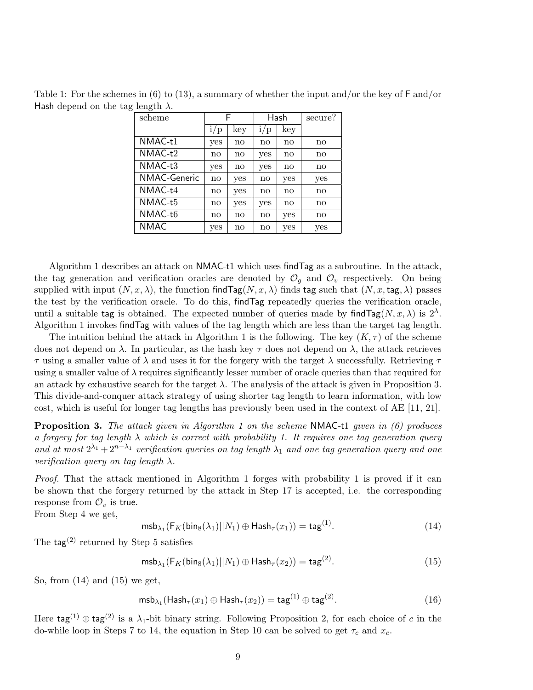| scheme              | F             |     | Hash          |     | secure?       |
|---------------------|---------------|-----|---------------|-----|---------------|
|                     | 1/p           | key | 1/p           | key |               |
| NMAC-t1             | yes           | no  | $\mathbf{no}$ | no  | $\mathbf{no}$ |
| NMAC-t2             | $\mathbf{no}$ | no  | yes           | no  | no            |
| $NMAC-t3$           | yes           | no  | yes           | no  | $\mathbf{no}$ |
| <b>NMAC-Generic</b> | $\mathbf{no}$ | yes | $\mathbf{no}$ | yes | yes           |
| NMAC-t4             | $\mathbf{no}$ | yes | no            | no  | no            |
| NMAC-t5             | $\mathbf{no}$ | yes | yes           | no  | $\mathbf{no}$ |
| NMAC-t6             | $\mathbf{no}$ | no  | no            | yes | $\mathbf{no}$ |
| <b>NMAC</b>         | yes           | no  | no            | yes | yes           |

Table 1: For the schemes in (6) to (13), a summary of whether the input and/or the key of  $\text{F}$  and/or Hash depend on the tag length  $\lambda$ .

Algorithm 1 describes an attack on NMAC-t1 which uses findTag as a subroutine. In the attack, the tag generation and verification oracles are denoted by  $\mathcal{O}_g$  and  $\mathcal{O}_v$  respectively. On being supplied with input  $(N, x, \lambda)$ , the function find  $\text{Tag}(N, x, \lambda)$  finds tag such that  $(N, x, \text{tag}, \lambda)$  passes the test by the verification oracle. To do this, findTag repeatedly queries the verification oracle, until a suitable tag is obtained. The expected number of queries made by find  $\text{Tag}(N, x, \lambda)$  is  $2^{\lambda}$ . Algorithm 1 invokes findTag with values of the tag length which are less than the target tag length.

The intuition behind the attack in Algorithm 1 is the following. The key  $(K, \tau)$  of the scheme does not depend on  $\lambda$ . In particular, as the hash key  $\tau$  does not depend on  $\lambda$ , the attack retrieves τ using a smaller value of λ and uses it for the forgery with the target λ successfully. Retrieving τ using a smaller value of  $\lambda$  requires significantly lesser number of oracle queries than that required for an attack by exhaustive search for the target  $\lambda$ . The analysis of the attack is given in Proposition 3. This divide-and-conquer attack strategy of using shorter tag length to learn information, with low cost, which is useful for longer tag lengths has previously been used in the context of AE [11, 21].

**Proposition 3.** The attack given in Algorithm 1 on the scheme NMAC-t1 given in  $(6)$  produces a forgery for tag length  $\lambda$  which is correct with probability 1. It requires one tag generation query and at most  $2^{\lambda_1} + 2^{n-\lambda_1}$  verification queries on tag length  $\lambda_1$  and one tag generation query and one verification query on tag length  $\lambda$ .

Proof. That the attack mentioned in Algorithm 1 forges with probability 1 is proved if it can be shown that the forgery returned by the attack in Step 17 is accepted, i.e. the corresponding response from  $\mathcal{O}_v$  is true.

From Step 4 we get,

$$
\mathrm{msb}_{\lambda_1}(\mathsf{F}_K(\mathsf{bin}_8(\lambda_1)||N_1) \oplus \mathsf{Hash}_\tau(x_1)) = \mathsf{tag}^{(1)}.
$$
 (14)

The tag<sup>(2)</sup> returned by Step 5 satisfies

$$
\mathrm{msb}_{\lambda_1}(\mathsf{F}_K(\mathsf{bins}(\lambda_1)||N_1) \oplus \mathsf{Hash}_{\tau}(x_2)) = \mathsf{tag}^{(2)}.
$$
 (15)

So, from  $(14)$  and  $(15)$  we get,

$$
\mathrm{msb}_{\lambda_1}(\mathrm{Hash}_{\tau}(x_1) \oplus \mathrm{Hash}_{\tau}(x_2)) = \mathrm{tag}^{(1)} \oplus \mathrm{tag}^{(2)}.
$$
 (16)

Here  $\text{tag}^{(1)} \oplus \text{tag}^{(2)}$  is a  $\lambda_1$ -bit binary string. Following Proposition 2, for each choice of c in the do-while loop in Steps 7 to 14, the equation in Step 10 can be solved to get  $\tau_c$  and  $x_c$ .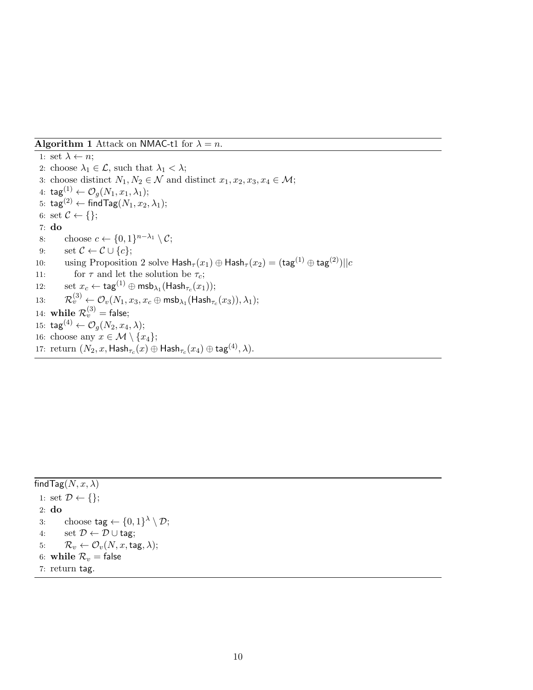**Algorithm 1** Attack on NMAC-t1 for  $\lambda = n$ .

1: set  $\lambda \leftarrow n$ ; 2: choose  $\lambda_1 \in \mathcal{L}$ , such that  $\lambda_1 < \lambda$ ; 3: choose distinct  $N_1, N_2 \in \mathcal{N}$  and distinct  $x_1, x_2, x_3, x_4 \in \mathcal{M}$ ; 4:  $\text{tag}^{(1)} \leftarrow \mathcal{O}_q(N_1, x_1, \lambda_1);$ 5: tag<sup>(2)</sup> ← findTag( $N_1, x_2, \lambda_1$ ); 6: set  $\mathcal{C} \leftarrow \{\};$ 7: do 8: choose  $c \leftarrow \{0,1\}^{n-\lambda_1} \setminus C;$ 9: set  $\mathcal{C} \leftarrow \mathcal{C} \cup \{c\};$ 10: using Proposition 2 solve  $\textsf{Hash}_{\tau}(x_1) \oplus \textsf{Hash}_{\tau}(x_2) = (\textsf{tag}^{(1)} \oplus \textsf{tag}^{(2)}) || c$ 11: for  $\tau$  and let the solution be  $\tau_c$ ; 12:  $\qquad \text{set } x_c \leftarrow \textsf{tag}^{(1)} \oplus \textsf{msb}_{\lambda_1}(\textsf{Hash}_{\tau_c}(x_1));$ 13:  $\mathcal{R}_v^{(3)} \leftarrow \mathcal{O}_v(N_1,x_3,x_c \oplus \mathsf{msb}_{\lambda_1}(\mathsf{Hash}_{\tau_c}(x_3)),\lambda_1);$ 14: while  $\mathcal{R}_v^{(3)}=$  false; 15:  $\text{tag}^{(4)} \leftarrow \mathcal{O}_q(N_2, x_4, \lambda);$ 16: choose any  $x \in \mathcal{M} \setminus \{x_4\};$ 17: return  $(N_2, x, \mathsf{Hash}_{\tau_c}(x) \oplus \mathsf{Hash}_{\tau_c}(x_4) \oplus \mathsf{tag}^{(4)}, \lambda).$ 

find Tag $(N, x, \lambda)$ 1: set  $\mathcal{D} \leftarrow \{\};$ 2: do 3: choose  $\text{tag} \leftarrow \{0,1\}^{\lambda} \setminus \mathcal{D};$ 4: set  $\mathcal{D} \leftarrow \mathcal{D} \cup$  tag; 5:  $\mathcal{R}_v \leftarrow \mathcal{O}_v(N, x, \text{tag}, \lambda);$ 6: while  $\mathcal{R}_v$  = false 7: return tag.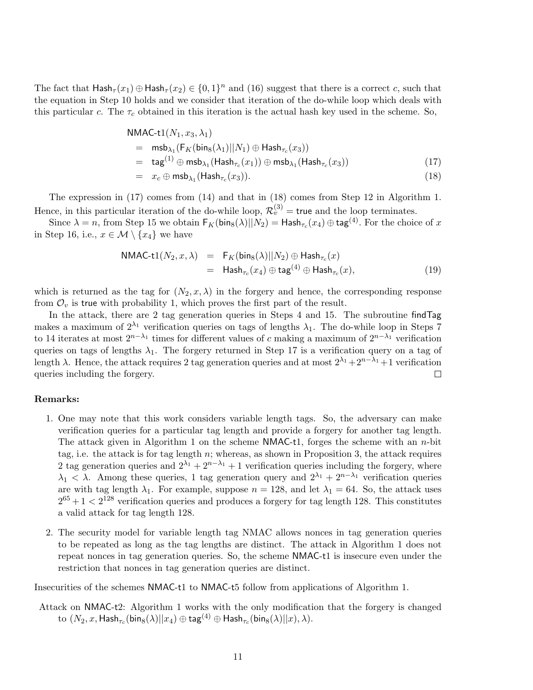The fact that  $\mathsf{Hash}_{\tau}(x_1) \oplus \mathsf{Hash}_{\tau}(x_2) \in \{0,1\}^n$  and (16) suggest that there is a correct c, such that the equation in Step 10 holds and we consider that iteration of the do-while loop which deals with this particular c. The  $\tau_c$  obtained in this iteration is the actual hash key used in the scheme. So,

$$
NMAC-t1(N_1, x_3, \lambda_1)
$$
  
=  $\text{msb}_{\lambda_1}(\text{F}_K(\text{bins}(\lambda_1)||N_1) \oplus \text{Hash}_{\tau_c}(x_3))$   
=  $\text{tag}^{(1)} \oplus \text{msb}_{\lambda_1}(\text{Hash}_{\tau_c}(x_1)) \oplus \text{msb}_{\lambda_1}(\text{Hash}_{\tau_c}(x_3))$  (17)  
=  $x_c \oplus \text{msb}_{\lambda_1}(\text{Hash}_{\tau_c}(x_3)).$  (18)

The expression in (17) comes from (14) and that in (18) comes from Step 12 in Algorithm 1. Hence, in this particular iteration of the do-while loop,  $\mathcal{R}_v^{(3)}$  = true and the loop terminates.

Since  $\lambda = n$ , from Step 15 we obtain  $\mathsf{F}_K(\mathsf{bin}_8(\lambda)||N_2) = \mathsf{Hash}_{\tau_c}(x_4) \oplus \mathsf{tag}^{(4)}$ . For the choice of  $x$ in Step 16, i.e.,  $x \in \mathcal{M} \setminus \{x_4\}$  we have

$$
NMAC-t1(N_2, x, \lambda) = F_K(bin_8(\lambda)||N_2) \oplus Hash_{\tau_c}(x)
$$
  
=  $Hash_{\tau_c}(x_4) \oplus tag^{(4)} \oplus Hash_{\tau_c}(x),$  (19)

which is returned as the tag for  $(N_2, x, \lambda)$  in the forgery and hence, the corresponding response from  $\mathcal{O}_v$  is true with probability 1, which proves the first part of the result.

In the attack, there are 2 tag generation queries in Steps 4 and 15. The subroutine findTag makes a maximum of  $2^{\lambda_1}$  verification queries on tags of lengths  $\lambda_1$ . The do-while loop in Steps 7 to 14 iterates at most  $2^{n-\lambda_1}$  times for different values of c making a maximum of  $2^{n-\lambda_1}$  verification queries on tags of lengths  $\lambda_1$ . The forgery returned in Step 17 is a verification query on a tag of length  $\lambda$ . Hence, the attack requires 2 tag generation queries and at most  $2^{\lambda_1} + 2^{n-\lambda_1} + 1$  verification queries including the forgery.  $\Box$ 

#### Remarks:

- 1. One may note that this work considers variable length tags. So, the adversary can make verification queries for a particular tag length and provide a forgery for another tag length. The attack given in Algorithm 1 on the scheme NMAC-t1, forges the scheme with an  $n$ -bit tag, i.e. the attack is for tag length  $n$ ; whereas, as shown in Proposition 3, the attack requires 2 tag generation queries and  $2^{\lambda_1} + 2^{n-\lambda_1} + 1$  verification queries including the forgery, where  $\lambda_1 < \lambda$ . Among these queries, 1 tag generation query and  $2^{\lambda_1} + 2^{n-\lambda_1}$  verification queries are with tag length  $\lambda_1$ . For example, suppose  $n = 128$ , and let  $\lambda_1 = 64$ . So, the attack uses  $2^{65} + 1 < 2^{128}$  verification queries and produces a forgery for tag length 128. This constitutes a valid attack for tag length 128.
- 2. The security model for variable length tag NMAC allows nonces in tag generation queries to be repeated as long as the tag lengths are distinct. The attack in Algorithm 1 does not repeat nonces in tag generation queries. So, the scheme NMAC-t1 is insecure even under the restriction that nonces in tag generation queries are distinct.

Insecurities of the schemes NMAC-t1 to NMAC-t5 follow from applications of Algorithm 1.

Attack on NMAC-t2: Algorithm 1 works with the only modification that the forgery is changed  $\hbox{to }(N_2,x,{\sf{Hash}}_{\tau_c}({\sf{bin}}_{8}(\lambda)||x_4)\oplus{\sf tag}^{(4)}\oplus{\sf{Hash}}_{\tau_c}({\sf{bin}}_{8}(\lambda)||x),\lambda).$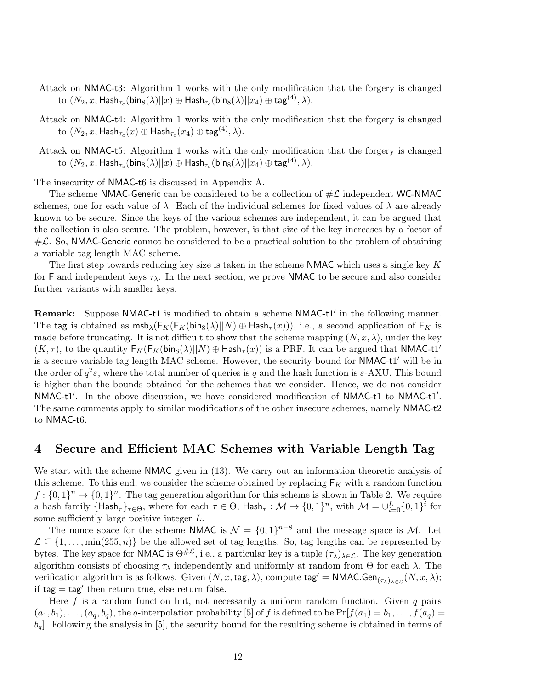- Attack on NMAC-t3: Algorithm 1 works with the only modification that the forgery is changed  $\mathrm{to}~(N_2,x,\mathsf{Hash}_{\tau_c}(\mathsf{bin}_8(\lambda)||x)\oplus\mathsf{Hash}_{\tau_c}(\mathsf{bin}_8(\lambda)||x_4)\oplus\mathsf{tag}^{\mathcal{4})},\lambda).$
- Attack on NMAC-t4: Algorithm 1 works with the only modification that the forgery is changed  $\mathrm{to}~(N_2,x,\mathsf{Hash}_{\tau_c}(x)\oplus\mathsf{Hash}_{\tau_c}(x_4)\oplus\mathsf{tag}^{(4)},\lambda).$
- Attack on NMAC-t5: Algorithm 1 works with the only modification that the forgery is changed  $\mathrm{to}~(N_2,x,\mathsf{Hash}_{\tau_c}(\mathsf{bins}(\lambda)||x)\oplus\mathsf{Hash}_{\tau_c}(\mathsf{bins}(\lambda)||x_4)\oplus\mathsf{tag}^{\mathbf{(4)}},\lambda).$

The insecurity of NMAC-t6 is discussed in Appendix A.

The scheme NMAC-Generic can be considered to be a collection of  $\#\mathcal{L}$  independent WC-NMAC schemes, one for each value of  $\lambda$ . Each of the individual schemes for fixed values of  $\lambda$  are already known to be secure. Since the keys of the various schemes are independent, it can be argued that the collection is also secure. The problem, however, is that size of the key increases by a factor of  $\#L$ . So, NMAC-Generic cannot be considered to be a practical solution to the problem of obtaining a variable tag length MAC scheme.

The first step towards reducing key size is taken in the scheme NMAC which uses a single key  $K$ for F and independent keys  $\tau_{\lambda}$ . In the next section, we prove NMAC to be secure and also consider further variants with smaller keys.

Remark: Suppose NMAC-t1 is modified to obtain a scheme NMAC-t1' in the following manner. The tag is obtained as  $msb_{\lambda}(F_K(F_K(bing(\lambda)||N) \oplus Hash_{\tau}(x)))$ , i.e., a second application of  $F_K$  is made before truncating. It is not difficult to show that the scheme mapping  $(N, x, \lambda)$ , under the key  $(K, \tau)$ , to the quantity  $F_K(F_K(bing(\lambda)||N) \oplus Hash_{\tau}(x))$  is a PRF. It can be argued that NMAC-t1' is a secure variable tag length MAC scheme. However, the security bound for NMAC-t1' will be in the order of  $q^2\varepsilon$ , where the total number of queries is q and the hash function is  $\varepsilon$ -AXU. This bound is higher than the bounds obtained for the schemes that we consider. Hence, we do not consider NMAC-t1'. In the above discussion, we have considered modification of NMAC-t1 to NMAC-t1'. The same comments apply to similar modifications of the other insecure schemes, namely NMAC-t2 to NMAC-t6.

### 4 Secure and Efficient MAC Schemes with Variable Length Tag

We start with the scheme NMAC given in  $(13)$ . We carry out an information theoretic analysis of this scheme. To this end, we consider the scheme obtained by replacing  $F_K$  with a random function  $f: \{0,1\}^n \to \{0,1\}^n$ . The tag generation algorithm for this scheme is shown in Table 2. We require a hash family  $\{\mathsf{Hash}_{\tau}\}_{\tau\in\Theta}$ , where for each  $\tau\in\Theta$ ,  $\mathsf{Hash}_{\tau}:\mathcal{M}\to\{0,1\}^n$ , with  $\mathcal{M}=\cup_{i=0}^L\{0,1\}^i$  for some sufficiently large positive integer L.

The nonce space for the scheme NMAC is  $\mathcal{N} = \{0,1\}^{n-8}$  and the message space is M. Let  $\mathcal{L} \subseteq \{1, \ldots, \min(255, n)\}\$ be the allowed set of tag lengths. So, tag lengths can be represented by bytes. The key space for NMAC is  $\Theta^{\#L}$ , i.e., a particular key is a tuple  $(\tau_{\lambda})_{\lambda \in \mathcal{L}}$ . The key generation algorithm consists of choosing  $\tau_{\lambda}$  independently and uniformly at random from  $\Theta$  for each  $\lambda$ . The verification algorithm is as follows. Given  $(N, x, \text{tag}, \lambda)$ , compute  $\text{tag}' = \text{NMAC.Gen}_{(\tau_{\lambda})_{\lambda \in \mathcal{L}}}(N, x, \lambda);$ if  $tag = tag'$  then return true, else return false.

Here f is a random function but, not necessarily a uniform random function. Given q pairs  $(a_1, b_1), \ldots, (a_q, b_q)$ , the q-interpolation probability [5] of f is defined to be  $Pr[f(a_1) = b_1, \ldots, f(a_q) = b_q]$  $b_q$ . Following the analysis in [5], the security bound for the resulting scheme is obtained in terms of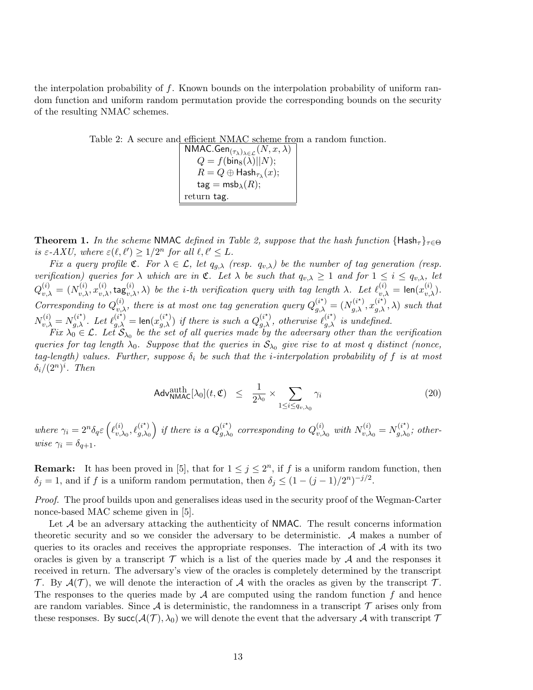the interpolation probability of f. Known bounds on the interpolation probability of uniform random function and uniform random permutation provide the corresponding bounds on the security of the resulting NMAC schemes.

Table 2: A secure and efficient NMAC scheme from a random function.

 $\mathsf{NMAC}.\mathsf{Gen}_{(\tau_{\pmb{\lambda}})_{\pmb{\lambda} \in \mathcal{L}}}(N, x, \lambda)$  $Q = f(\mathsf{bin}_8(\lambda)||N);$  $R=Q\oplus \mathsf{Hash}_{\tau_{\lambda}}(x);$  $\mathsf{tag} = \mathsf{msb}_\lambda(R);$ return tag.

**Theorem 1.** In the scheme NMAC defined in Table 2, suppose that the hash function  $\{Hash_{\tau}\}_{\tau \in \Theta}$ is  $\varepsilon$ -AXU, where  $\varepsilon(\ell, \ell') \geq 1/2^n$  for all  $\ell, \ell' \leq L$ .

Fix a query profile  $\mathfrak{C}$ . For  $\lambda \in \mathcal{L}$ , let  $q_{g,\lambda}$  (resp.  $q_{v,\lambda}$ ) be the number of tag generation (resp. verification) queries for  $\lambda$  which are in  $\mathfrak{C}$ . Let  $\lambda$  be such that  $q_{v,\lambda} \geq 1$  and for  $1 \leq i \leq q_{v,\lambda}$ , let  $Q_{v,\lambda}^{(i)} = (N_{v,\lambda}^{(i)}, x_{v,\lambda}^{(i)}, \tan \theta_{v,\lambda}^{(i)}, \lambda)$  be the *i*-th verification query with tag length  $\lambda$ . Let  $\ell_{v,\lambda}^{(i)} = \text{len}(x_{v,\lambda}^{(i)})$ . Corresponding to  $Q_{v,\lambda}^{(i)}$ , there is at most one tag generation query  $Q_{g,\lambda}^{(i^*)} = (N_{g,\lambda}^{(i^*)}, x_{g,\lambda}^{(i^*)}, \lambda)$  such that  $N_{v,\lambda}^{(i)} = N_{g,\lambda}^{(i^*)}$ . Let  $\ell_{g,\lambda}^{(i^*)} = \text{len}(x_{g,\lambda}^{(i^*)})$  if there is such a  $Q_{g,\lambda}^{(i^*)}$ , otherwise  $\ell_{g,\lambda}^{(i^*)}$  is undefined.

Fix  $\lambda_0 \in \mathcal{L}$ . Let  $\mathcal{S}_{\lambda_0}$  be the set of all queries made by the adversary other than the verification queries for tag length  $\lambda_0$ . Suppose that the queries in  $S_{\lambda_0}$  give rise to at most q distinct (nonce, tag-length) values. Further, suppose  $\delta_i$  be such that the *i*-interpolation probability of f is at most  $\delta_i/(2^n)^i$ . Then

$$
\mathsf{Adv}^{\text{auth}}_{\mathsf{NMAC}}[\lambda_0](t, \mathfrak{C}) \leq \frac{1}{2^{\lambda_0}} \times \sum_{1 \leq i \leq q_{v, \lambda_0}} \gamma_i \tag{20}
$$

where  $\gamma_i = 2^n \delta_q \varepsilon \left( \ell_{v,\lambda}^{(i)} \right)$  $\chi_{v,\lambda_0}^{(i)}, \ell_{g,\lambda_0}^{(i^\star)}$  $\left(\begin{smallmatrix} (i^\star)\ g,\lambda_0 \end{smallmatrix}\right)$  if there is a  $Q_{g,\lambda_0}^{(i^\star)}$  $_{g,\lambda_{0}}^{(i^{\star})}$  corresponding to  $Q_{v,\lambda}^{(i)}$  $_{v,\lambda_0}^{(i)}$  with  $N_{v,\lambda}^{(i)}$  $v_{v,\lambda_0}^{(i)} = N_{g,\lambda_0}^{(i^*)}$  $g_{,\lambda_0}^{(i)}$ ; otherwise  $\gamma_i = \delta_{a+1}$ .

**Remark:** It has been proved in [5], that for  $1 \leq j \leq 2<sup>n</sup>$ , if f is a uniform random function, then  $\delta_j = 1$ , and if f is a uniform random permutation, then  $\delta_j \leq (1 - (j - 1)/2^n)^{-j/2}$ .

Proof. The proof builds upon and generalises ideas used in the security proof of the Wegman-Carter nonce-based MAC scheme given in [5].

Let  $A$  be an adversary attacking the authenticity of NMAC. The result concerns information theoretic security and so we consider the adversary to be deterministic. A makes a number of queries to its oracles and receives the appropriate responses. The interaction of  $A$  with its two oracles is given by a transcript  $\mathcal T$  which is a list of the queries made by  $\mathcal A$  and the responses it received in return. The adversary's view of the oracles is completely determined by the transcript T. By  $\mathcal{A}(\mathcal{T})$ , we will denote the interaction of A with the oracles as given by the transcript T. The responses to the queries made by  $A$  are computed using the random function f and hence are random variables. Since A is deterministic, the randomness in a transcript  $\mathcal T$  arises only from these responses. By succ( $\mathcal{A}(\mathcal{T}), \lambda_0$ ) we will denote the event that the adversary  $\mathcal A$  with transcript  $\mathcal T$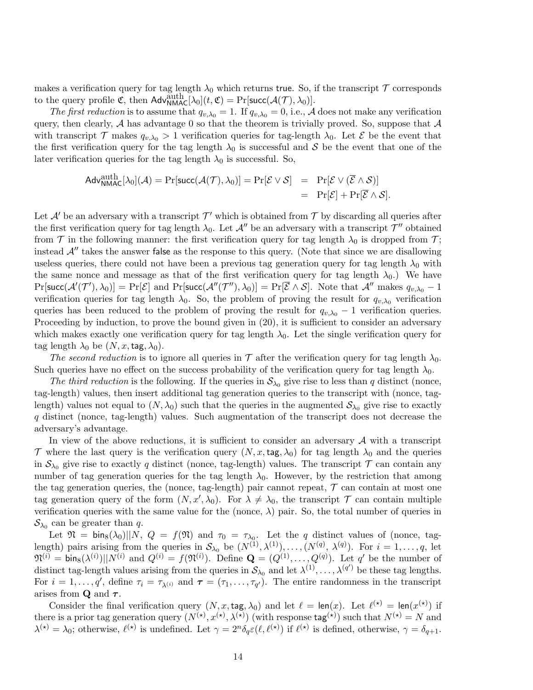makes a verification query for tag length  $\lambda_0$  which returns true. So, if the transcript  $\mathcal T$  corresponds to the query profile  $\mathfrak{C}$ , then  $\mathsf{Adv}_{\mathsf{NMAC}}^{\text{auth}}[\lambda_0](t, \mathfrak{C}) = \Pr[\mathsf{succ}(\mathcal{A}(\mathcal{T}), \lambda_0)].$ 

The first reduction is to assume that  $q_{v,\lambda_0} = 1$ . If  $q_{v,\lambda_0} = 0$ , i.e., A does not make any verification query, then clearly,  $A$  has advantage 0 so that the theorem is trivially proved. So, suppose that  $A$ with transcript T makes  $q_{v,\lambda_0} > 1$  verification queries for tag-length  $\lambda_0$ . Let E be the event that the first verification query for the tag length  $\lambda_0$  is successful and S be the event that one of the later verification queries for the tag length  $\lambda_0$  is successful. So,

$$
\mathsf{Adv}^{\mathsf{auth}}_{\mathsf{NMAC}}[\lambda_0](\mathcal{A}) = \Pr[\mathsf{succ}(\mathcal{A}(\mathcal{T}), \lambda_0)] = \Pr[\mathcal{E} \vee \mathcal{S}] = \Pr[\mathcal{E} \vee (\overline{\mathcal{E}} \wedge \mathcal{S})] \\
= \Pr[\mathcal{E}] + \Pr[\overline{\mathcal{E}} \wedge \mathcal{S}].
$$

Let  $\mathcal{A}'$  be an adversary with a transcript  $\mathcal{T}'$  which is obtained from  $\mathcal{T}$  by discarding all queries after the first verification query for tag length  $\lambda_0$ . Let  $\mathcal{A}''$  be an adversary with a transcript  $\mathcal{T}''$  obtained from  $\mathcal T$  in the following manner: the first verification query for tag length  $\lambda_0$  is dropped from  $\mathcal T$ ; instead  $\mathcal{A}^{\prime\prime}$  takes the answer false as the response to this query. (Note that since we are disallowing useless queries, there could not have been a previous tag generation query for tag length  $\lambda_0$  with the same nonce and message as that of the first verification query for tag length  $\lambda_0$ .) We have  $Pr[\textsf{succ}(\mathcal{A}'(\mathcal{T}'), \lambda_0)] = Pr[\mathcal{E}]$  and  $Pr[\textsf{succ}(\mathcal{A}''(\mathcal{T}''), \lambda_0)] = Pr[\overline{\mathcal{E}} \wedge \mathcal{S}]$ . Note that  $\mathcal{A}''$  makes  $q_{v, \lambda_0} - 1$ verification queries for tag length  $\lambda_0$ . So, the problem of proving the result for  $q_{v,\lambda_0}$  verification queries has been reduced to the problem of proving the result for  $q_{v,\lambda_0} - 1$  verification queries. Proceeding by induction, to prove the bound given in  $(20)$ , it is sufficient to consider an adversary which makes exactly one verification query for tag length  $\lambda_0$ . Let the single verification query for tag length  $\lambda_0$  be  $(N, x, \text{tag}, \lambda_0)$ .

The second reduction is to ignore all queries in  $\mathcal T$  after the verification query for tag length  $\lambda_0$ . Such queries have no effect on the success probability of the verification query for tag length  $\lambda_0$ .

The third reduction is the following. If the queries in  $S_{\lambda_0}$  give rise to less than q distinct (nonce, tag-length) values, then insert additional tag generation queries to the transcript with (nonce, taglength) values not equal to  $(N, \lambda_0)$  such that the queries in the augmented  $S_{\lambda_0}$  give rise to exactly q distinct (nonce, tag-length) values. Such augmentation of the transcript does not decrease the adversary's advantage.

In view of the above reductions, it is sufficient to consider an adversary  $A$  with a transcript T where the last query is the verification query  $(N, x, \text{tag}, \lambda_0)$  for tag length  $\lambda_0$  and the queries in  $S_{\lambda_0}$  give rise to exactly q distinct (nonce, tag-length) values. The transcript  $\mathcal T$  can contain any number of tag generation queries for the tag length  $\lambda_0$ . However, by the restriction that among the tag generation queries, the (nonce, tag-length) pair cannot repeat,  $\tau$  can contain at most one tag generation query of the form  $(N, x', \lambda_0)$ . For  $\lambda \neq \lambda_0$ , the transcript  $\mathcal T$  can contain multiple verification queries with the same value for the (nonce,  $\lambda$ ) pair. So, the total number of queries in  $\mathcal{S}_{\lambda_0}$  can be greater than q.

Let  $\mathfrak{N} = \text{bin}_{8}(\lambda_0)||N, Q = f(\mathfrak{N})$  and  $\tau_0 = \tau_{\lambda_0}$ . Let the q distinct values of (nonce, taglength) pairs arising from the queries in  $S_{\lambda_0}$  be  $(N^{(1)}, \lambda^{(1)}), \ldots, (N^{(q)}, \lambda^{(q)})$ . For  $i = 1, \ldots, q$ , let  $\mathfrak{N}^{(i)} = \text{bin}_{8}(\lambda^{(i)})||N^{(i)}$  and  $Q^{(i)} = f(\mathfrak{N}^{(i)})$ . Define  $\mathbf{Q} = (Q^{(1)}, \dots, Q^{(q)})$ . Let  $q'$  be the number of distinct tag-length values arising from the queries in  $S_{\lambda_0}$  and let  $\lambda^{(1)}, \ldots, \lambda^{(q')}$  be these tag lengths. For  $i = 1, \ldots, q'$ , define  $\tau_i = \tau_{\lambda^{(i)}}$  and  $\tau = (\tau_1, \ldots, \tau_{q'})$ . The entire randomness in the transcript arises from **Q** and  $\tau$ .

Consider the final verification query  $(N, x, \text{tag}, \lambda_0)$  and let  $\ell = \text{len}(x)$ . Let  $\ell^{(\star)} = \text{len}(x^{(\star)})$  if there is a prior tag generation query  $(N^{(*)}, x^{(*)}, \lambda^{(*)})$  (with response  $\text{tag}^{(*)}$ ) such that  $N^{(*)} = N$  and  $\lambda^{(\star)} = \lambda_0$ ; otherwise,  $\ell^{(\star)}$  is undefined. Let  $\gamma = 2^n \delta_q \varepsilon(\ell, \ell^{(\star)})$  if  $\ell^{(\star)}$  is defined, otherwise,  $\gamma = \delta_{q+1}$ .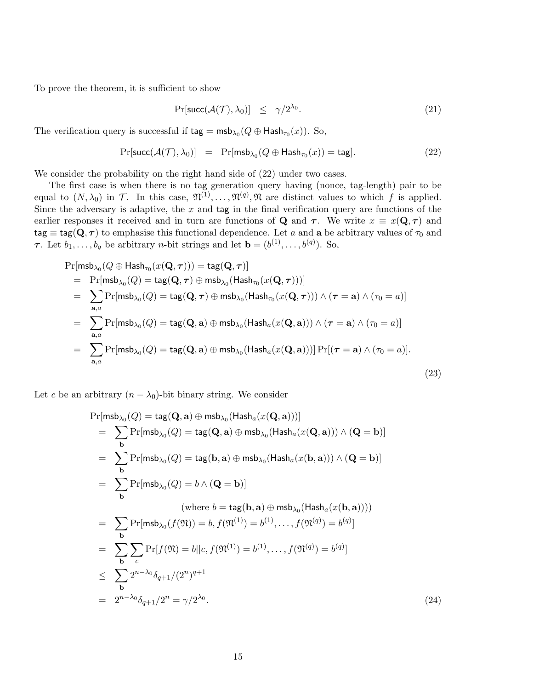To prove the theorem, it is sufficient to show

$$
\Pr[\text{succ}(\mathcal{A}(\mathcal{T}), \lambda_0)] \le \gamma/2^{\lambda_0}.\tag{21}
$$

The verification query is successful if  $\textsf{tag} = \textsf{msb}_{\lambda_0}(Q \oplus \textsf{Hash}_{\tau_0}(x))$ . So,

$$
Pr[\text{succ}(\mathcal{A}(\mathcal{T}), \lambda_0)] = Pr[\text{msb}_{\lambda_0}(Q \oplus \text{Hash}_{\tau_0}(x)) = \text{tag}]. \tag{22}
$$

We consider the probability on the right hand side of  $(22)$  under two cases.

The first case is when there is no tag generation query having (nonce, tag-length) pair to be equal to  $(N, \lambda_0)$  in T. In this case,  $\mathfrak{N}^{(1)}, \ldots, \mathfrak{N}^{(q)}$ ,  $\mathfrak{N}$  are distinct values to which f is applied. Since the adversary is adaptive, the  $x$  and tag in the final verification query are functions of the earlier responses it received and in turn are functions of Q and  $\tau$ . We write  $x \equiv x(\mathbf{Q}, \tau)$  and  $\text{tag } \equiv \text{tag} \mathbf{Q}, \tau)$  to emphasise this functional dependence. Let a and a be arbitrary values of  $\tau_0$  and **τ**. Let  $b_1, \ldots, b_q$  be arbitrary *n*-bit strings and let  $\mathbf{b} = (b^{(1)}, \ldots, b^{(q)})$ . So,

$$
\Pr[\text{msb}_{\lambda_0}(Q \oplus \text{Hash}_{\tau_0}(x(\mathbf{Q}, \tau))) = \text{tag}(\mathbf{Q}, \tau)]
$$
\n
$$
= \Pr[\text{msb}_{\lambda_0}(Q) = \text{tag}(\mathbf{Q}, \tau) \oplus \text{msb}_{\lambda_0}(\text{Hash}_{\tau_0}(x(\mathbf{Q}, \tau)))]
$$
\n
$$
= \sum_{\mathbf{a},a} \Pr[\text{msb}_{\lambda_0}(Q) = \text{tag}(\mathbf{Q}, \tau) \oplus \text{msb}_{\lambda_0}(\text{Hash}_{\tau_0}(x(\mathbf{Q}, \tau))) \wedge (\tau = \mathbf{a}) \wedge (\tau_0 = a)]
$$
\n
$$
= \sum_{\mathbf{a},a} \Pr[\text{msb}_{\lambda_0}(Q) = \text{tag}(\mathbf{Q}, \mathbf{a}) \oplus \text{msb}_{\lambda_0}(\text{Hash}_a(x(\mathbf{Q}, \mathbf{a}))) \wedge (\tau = \mathbf{a}) \wedge (\tau_0 = a)]
$$
\n
$$
= \sum_{\mathbf{a},a} \Pr[\text{msb}_{\lambda_0}(Q) = \text{tag}(\mathbf{Q}, \mathbf{a}) \oplus \text{msb}_{\lambda_0}(\text{Hash}_a(x(\mathbf{Q}, \mathbf{a})))] \Pr[(\tau = \mathbf{a}) \wedge (\tau_0 = a)].
$$
\n(23)

Let c be an arbitrary  $(n - \lambda_0)$ -bit binary string. We consider

$$
\Pr[\text{msb}_{\lambda_0}(Q) = \text{tag}(\mathbf{Q}, \mathbf{a}) \oplus \text{msb}_{\lambda_0}(\text{Hash}_a(x(\mathbf{Q}, \mathbf{a})))]
$$
\n
$$
= \sum_{\mathbf{b}} \Pr[\text{msb}_{\lambda_0}(Q) = \text{tag}(\mathbf{Q}, \mathbf{a}) \oplus \text{msb}_{\lambda_0}(\text{Hash}_a(x(\mathbf{Q}, \mathbf{a}))) \wedge (\mathbf{Q} = \mathbf{b})]
$$
\n
$$
= \sum_{\mathbf{b}} \Pr[\text{msb}_{\lambda_0}(Q) = \text{tag}(\mathbf{b}, \mathbf{a}) \oplus \text{msb}_{\lambda_0}(\text{Hash}_a(x(\mathbf{b}, \mathbf{a}))) \wedge (\mathbf{Q} = \mathbf{b})]
$$
\n
$$
= \sum_{\mathbf{b}} \Pr[\text{msb}_{\lambda_0}(Q) = b \wedge (\mathbf{Q} = \mathbf{b})]
$$
\n(where  $b = \text{tag}(\mathbf{b}, \mathbf{a}) \oplus \text{msb}_{\lambda_0}(\text{Hash}_a(x(\mathbf{b}, \mathbf{a}))))$ )\n
$$
= \sum_{\mathbf{b}} \Pr[\text{msb}_{\lambda_0}(f(\mathfrak{N})) = b, f(\mathfrak{N}^{(1)}) = b^{(1)}, \dots, f(\mathfrak{N}^{(q)}) = b^{(q)}]
$$
\n
$$
= \sum_{\mathbf{b}} \sum_{c} \Pr[f(\mathfrak{N}) = b || c, f(\mathfrak{N}^{(1)}) = b^{(1)}, \dots, f(\mathfrak{N}^{(q)}) = b^{(q)}]
$$
\n
$$
\leq \sum_{\mathbf{b}} 2^{n-\lambda_0} \delta_{q+1} / (2^n)^{q+1}
$$
\n
$$
= 2^{n-\lambda_0} \delta_{q+1} / 2^n = \gamma / 2^{\lambda_0}.
$$
\n(24)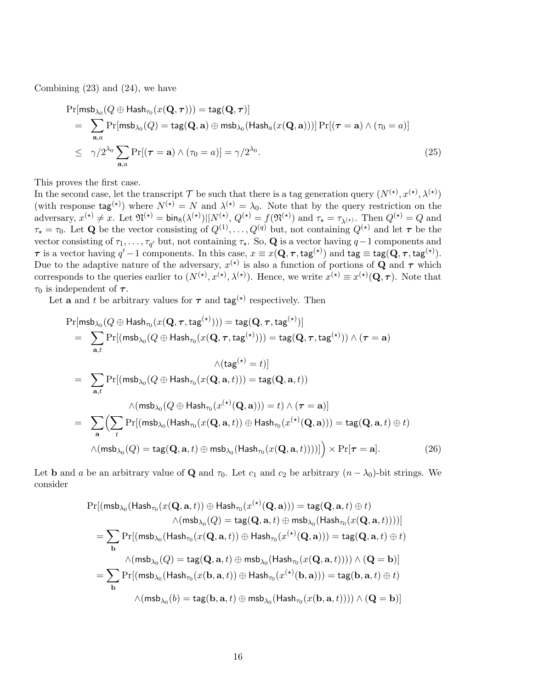Combining (23) and (24), we have

$$
\Pr[\mathsf{msb}_{\lambda_0}(Q \oplus \mathsf{Hash}_{\tau_0}(x(\mathbf{Q}, \boldsymbol{\tau}))) = \mathsf{tag}(\mathbf{Q}, \boldsymbol{\tau})]
$$
\n
$$
= \sum_{\mathbf{a}, a} \Pr[\mathsf{msb}_{\lambda_0}(Q) = \mathsf{tag}(\mathbf{Q}, \mathbf{a}) \oplus \mathsf{msb}_{\lambda_0}(\mathsf{Hash}_a(x(\mathbf{Q}, \mathbf{a})))] \Pr[(\boldsymbol{\tau} = \mathbf{a}) \wedge (\tau_0 = a)]
$$
\n
$$
\leq \gamma/2^{\lambda_0} \sum_{\mathbf{a}, a} \Pr[(\boldsymbol{\tau} = \mathbf{a}) \wedge (\tau_0 = a)] = \gamma/2^{\lambda_0}.
$$
\n(25)

This proves the first case.

In the second case, let the transcript T be such that there is a tag generation query  $(N^{(\star)}, x^{(\star)}, \lambda^{(\star)})$ (with response  $\text{tag}^{(\star)}$ ) where  $N^{(\star)} = N$  and  $\lambda^{(\star)} = \lambda_0$ . Note that by the query restriction on the adversary,  $x^{(\star)} \neq x$ . Let  $\mathfrak{N}^{(\star)} = \text{bin}_{8}(\lambda^{(\star)}) \vert\vert N^{(\star)}, Q^{(\star)} = f(\mathfrak{N}^{(\star)})$  and  $\tau_{\star} = \tau_{\lambda^{(\star)}}$ . Then  $Q^{(\star)} = Q$  and  $\tau_{\star} = \tau_0$ . Let **Q** be the vector consisting of  $Q^{(1)}, \ldots, Q^{(q)}$  but, not containing  $Q^{(\star)}$  and let  $\tau$  be the vector consisting of  $\tau_1, \ldots, \tau_{q'}$  but, not containing  $\tau_{\star}$ . So, Q is a vector having  $q-1$  components and  $\tau$  is a vector having  $q'-1$  components. In this case,  $x \equiv x(\mathbf{Q}, \tau, \text{tag}^{(\star)})$  and  $\text{tag} \equiv \text{tag}(\mathbf{Q}, \tau, \text{tag}^{(\star)})$ . Due to the adaptive nature of the adversary,  $x^{(\star)}$  is also a function of portions of Q and  $\tau$  which corresponds to the queries earlier to  $(N^{(*)}, x^{(*)}, \lambda^{(*)})$ . Hence, we write  $x^{(*)} \equiv x^{(*)}(\mathbf{Q}, \boldsymbol{\tau})$ . Note that  $\tau_0$  is independent of  $\tau$ .

Let **a** and t be arbitrary values for  $\tau$  and  $\text{tag}^{(\star)}$  respectively. Then

$$
\Pr[\mathsf{msb}_{\lambda_0}(Q \oplus \mathsf{Hash}_{\tau_0}(x(\mathbf{Q}, \boldsymbol{\tau}, \mathsf{tag}^{(\star)}))) = \mathsf{tag}(\mathbf{Q}, \boldsymbol{\tau}, \mathsf{tag}^{(\star)})]
$$
\n
$$
= \sum_{\mathbf{a},t} \Pr[(\mathsf{msb}_{\lambda_0}(Q \oplus \mathsf{Hash}_{\tau_0}(x(\mathbf{Q}, \boldsymbol{\tau}, \mathsf{tag}^{(\star)}))) = \mathsf{tag}(\mathbf{Q}, \boldsymbol{\tau}, \mathsf{tag}^{(\star)})) \land (\boldsymbol{\tau} = \mathbf{a})
$$
\n
$$
\wedge (\mathsf{tag}^{(\star)} = t)]
$$
\n
$$
= \sum_{\mathbf{a},t} \Pr[(\mathsf{msb}_{\lambda_0}(Q \oplus \mathsf{Hash}_{\tau_0}(x(\mathbf{Q}, \mathbf{a}, t))) = \mathsf{tag}(\mathbf{Q}, \mathbf{a}, t))
$$
\n
$$
= \sum_{\mathbf{a}} \Bigl(\sum_{t} \Pr[(\mathsf{msb}_{\lambda_0}(\mathsf{Hash}_{\tau_0}(x(\mathbf{Q}, \mathbf{a}, t)) \oplus \mathsf{Hash}_{\tau_0}(x^{(\star)}(\mathbf{Q}, \mathbf{a}))) = \mathsf{tag}(\mathbf{Q}, \mathbf{a}, t) \oplus t \Bigr)
$$
\n
$$
\wedge (\mathsf{msb}_{\lambda_0}(Q) = \mathsf{tag}(\mathbf{Q}, \mathbf{a}, t) \oplus \mathsf{msb}_{\lambda_0}(\mathsf{Hash}_{\tau_0}(x(\mathbf{Q}, \mathbf{a}, t))))]\Bigr) \times \Pr[\boldsymbol{\tau} = \mathbf{a}]. \tag{26}
$$

Let **b** and a be an arbitrary value of **Q** and  $\tau_0$ . Let  $c_1$  and  $c_2$  be arbitrary  $(n - \lambda_0)$ -bit strings. We consider

$$
\Pr[(\mathsf{msb}_{\lambda_0}(\mathsf{Hash}_{\tau_0}(x(\mathbf{Q}, \mathbf{a}, t)) \oplus \mathsf{Hash}_{\tau_0}(x^{(\star)}(\mathbf{Q}, \mathbf{a}))) = \mathsf{tag}(\mathbf{Q}, \mathbf{a}, t) \oplus t) \newline \wedge (\mathsf{msb}_{\lambda_0}(Q) = \mathsf{tag}(\mathbf{Q}, \mathbf{a}, t) \oplus \mathsf{msb}_{\lambda_0}(\mathsf{Hash}_{\tau_0}(x(\mathbf{Q}, \mathbf{a}, t))))] \\ = \sum_{\mathbf{b}} \Pr[(\mathsf{msb}_{\lambda_0}(\mathsf{Hash}_{\tau_0}(x(\mathbf{Q}, \mathbf{a}, t)) \oplus \mathsf{Hash}_{\tau_0}(x^{(\star)}(\mathbf{Q}, \mathbf{a}))) = \mathsf{tag}(\mathbf{Q}, \mathbf{a}, t) \oplus t) \newline \wedge (\mathsf{msb}_{\lambda_0}(Q) = \mathsf{tag}(\mathbf{Q}, \mathbf{a}, t) \oplus \mathsf{msb}_{\lambda_0}(\mathsf{Hash}_{\tau_0}(x(\mathbf{Q}, \mathbf{a}, t)))) \wedge (\mathbf{Q} = \mathbf{b})] \\ = \sum_{\mathbf{b}} \Pr[(\mathsf{msb}_{\lambda_0}(\mathsf{Hash}_{\tau_0}(x(\mathbf{b}, \mathbf{a}, t)) \oplus \mathsf{Hash}_{\tau_0}(x^{(\star)}(\mathbf{b}, \mathbf{a}))) = \mathsf{tag}(\mathbf{b}, \mathbf{a}, t) \oplus t) \newline \wedge (\mathsf{msb}_{\lambda_0}(b) = \mathsf{tag}(\mathbf{b}, \mathbf{a}, t) \oplus \mathsf{msb}_{\lambda_0}(\mathsf{Hash}_{\tau_0}(x(\mathbf{b}, \mathbf{a}, t)))) \wedge (\mathbf{Q} = \mathbf{b})]
$$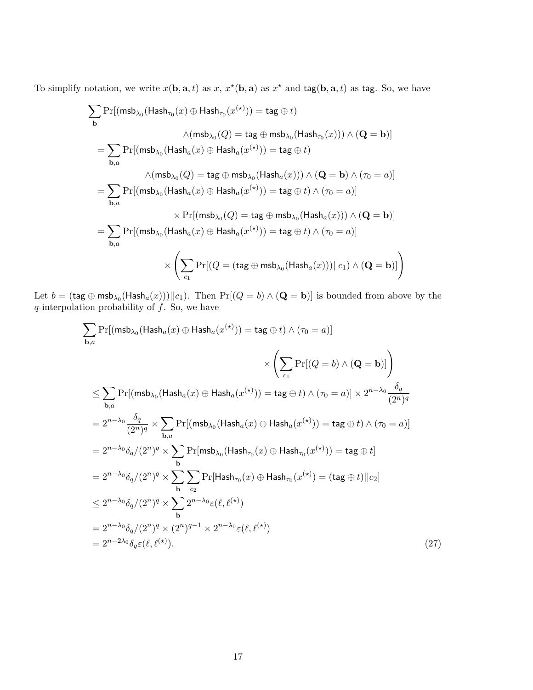To simplify notation, we write  $x(\mathbf{b}, \mathbf{a}, t)$  as  $x, x^*(\mathbf{b}, \mathbf{a})$  as  $x^*$  and  $\text{tag}(\mathbf{b}, \mathbf{a}, t)$  as tag. So, we have

$$
\sum_{\mathbf{b}} \Pr[(\mathsf{msb}_{\lambda_0}(\mathsf{Hash}_{\tau_0}(x) \oplus \mathsf{Hash}_{\tau_0}(x^{(\star)})) = \mathsf{tag} \oplus t)
$$
\n
$$
\wedge (\mathsf{msb}_{\lambda_0}(Q) = \mathsf{tag} \oplus \mathsf{msb}_{\lambda_0}(\mathsf{Hash}_{\tau_0}(x))) \wedge (\mathbf{Q} = \mathbf{b})]
$$
\n
$$
= \sum_{\mathbf{b},a} \Pr[(\mathsf{msb}_{\lambda_0}(\mathsf{Hash}_a(x) \oplus \mathsf{Hash}_a(x^{(\star)})) = \mathsf{tag} \oplus t)
$$
\n
$$
\wedge (\mathsf{msb}_{\lambda_0}(Q) = \mathsf{tag} \oplus \mathsf{msb}_{\lambda_0}(\mathsf{Hash}_a(x))) \wedge (\mathbf{Q} = \mathbf{b}) \wedge (\tau_0 = a)]
$$
\n
$$
= \sum_{\mathbf{b},a} \Pr[(\mathsf{msb}_{\lambda_0}(\mathsf{Hash}_a(x) \oplus \mathsf{Hash}_a(x^{(\star)})) = \mathsf{tag} \oplus t) \wedge (\tau_0 = a)]
$$
\n
$$
= \sum_{\mathbf{b},a} \Pr[(\mathsf{msb}_{\lambda_0}(\mathsf{Hash}_a(x) \oplus \mathsf{Hash}_a(x^{(\star)})) = \mathsf{tag} \oplus t) \wedge (\tau_0 = a)]
$$
\n
$$
\times \left( \sum_{c_1} \Pr[(Q = (\mathsf{tag} \oplus \mathsf{msb}_{\lambda_0}(\mathsf{Hash}_a(x)))] | c_1) \wedge (\mathbf{Q} = \mathbf{b})] \right)
$$

Let  $b= (\mathsf{tag} \oplus \mathsf{msb}_{\lambda_0}(\mathsf{Hash}_a(x)) ) || c_1).$  Then  $\Pr[(Q = b) \wedge (\mathbf{Q} = \mathbf{b})]$  is bounded from above by the  $q$ -interpolation probability of  $f$ . So, we have

$$
\sum_{\mathbf{b},a} \Pr[(\text{msb}_{\lambda_0}(\text{Hash}_a(x) \oplus \text{Hash}_a(x^{(*)})) = \text{tag} \oplus t) \land (\tau_0 = a)]
$$
\n
$$
\times \left( \sum_{c_1} \Pr[(Q = b) \land (Q = b)] \right)
$$
\n
$$
\leq \sum_{\mathbf{b},a} \Pr[(\text{msb}_{\lambda_0}(\text{Hash}_a(x) \oplus \text{Hash}_a(x^{(*)})) = \text{tag} \oplus t) \land (\tau_0 = a)] \times 2^{n-\lambda_0} \frac{\delta_q}{(2^n)^q}
$$
\n
$$
= 2^{n-\lambda_0} \frac{\delta_q}{(2^n)^q} \times \sum_{\mathbf{b},a} \Pr[(\text{msb}_{\lambda_0}(\text{Hash}_a(x) \oplus \text{Hash}_a(x^{(*)})) = \text{tag} \oplus t) \land (\tau_0 = a)]
$$
\n
$$
= 2^{n-\lambda_0} \delta_q/(2^n)^q \times \sum_{\mathbf{b}} \Pr[\text{msb}_{\lambda_0}(\text{Hash}_{\tau_0}(x) \oplus \text{Hash}_{\tau_0}(x^{(*)})) = \text{tag} \oplus t]
$$
\n
$$
= 2^{n-\lambda_0} \delta_q/(2^n)^q \times \sum_{\mathbf{b}} \sum_{c_2} \Pr[\text{Hash}_{\tau_0}(x) \oplus \text{Hash}_{\tau_0}(x^{(*)}) = (\text{tag} \oplus t) || c_2]
$$
\n
$$
\leq 2^{n-\lambda_0} \delta_q/(2^n)^q \times \sum_{\mathbf{b}} 2^{n-\lambda_0} \varepsilon(\ell, \ell^{(*)})
$$
\n
$$
= 2^{n-\lambda_0} \delta_q/(2^n)^q \times (2^n)^{q-1} \times 2^{n-\lambda_0} \varepsilon(\ell, \ell^{(*)})
$$
\n
$$
= 2^{n-2\lambda_0} \delta_q \varepsilon(\ell, \ell^{(*)}).
$$
\n(27)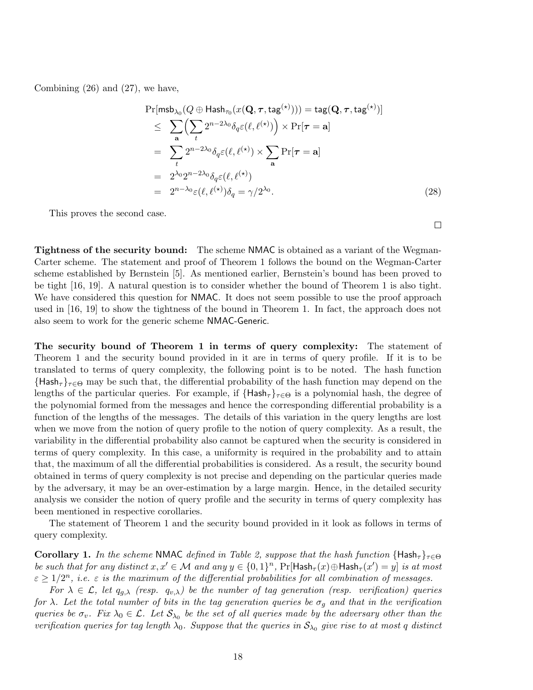Combining (26) and (27), we have,

$$
\Pr[\mathsf{msb}_{\lambda_0}(Q \oplus \mathsf{Hash}_{\tau_0}(x(\mathbf{Q}, \boldsymbol{\tau}, \mathsf{tag}^{\star})))) = \mathsf{tag}(\mathbf{Q}, \boldsymbol{\tau}, \mathsf{tag}^{\star}))]
$$
\n
$$
\leq \sum_{\mathbf{a}} \Biggl( \sum_{t} 2^{n-2\lambda_0} \delta_q \varepsilon(\ell, \ell^{(\star)}) \Biggr) \times \Pr[\boldsymbol{\tau} = \mathbf{a}]
$$
\n
$$
= \sum_{t} 2^{n-2\lambda_0} \delta_q \varepsilon(\ell, \ell^{(\star)}) \times \sum_{\mathbf{a}} \Pr[\boldsymbol{\tau} = \mathbf{a}]
$$
\n
$$
= 2^{\lambda_0} 2^{n-2\lambda_0} \delta_q \varepsilon(\ell, \ell^{(\star)})
$$
\n
$$
= 2^{n-\lambda_0} \varepsilon(\ell, \ell^{(\star)}) \delta_q = \gamma/2^{\lambda_0}.
$$
\n(28)

This proves the second case.

Tightness of the security bound: The scheme NMAC is obtained as a variant of the Wegman-Carter scheme. The statement and proof of Theorem 1 follows the bound on the Wegman-Carter scheme established by Bernstein [5]. As mentioned earlier, Bernstein's bound has been proved to be tight [16, 19]. A natural question is to consider whether the bound of Theorem 1 is also tight. We have considered this question for NMAC. It does not seem possible to use the proof approach used in [16, 19] to show the tightness of the bound in Theorem 1. In fact, the approach does not also seem to work for the generic scheme NMAC-Generic.

The security bound of Theorem 1 in terms of query complexity: The statement of Theorem 1 and the security bound provided in it are in terms of query profile. If it is to be translated to terms of query complexity, the following point is to be noted. The hash function  ${Hash}_{\tau}$ <sub>r∈ $\Theta$ </sub> may be such that, the differential probability of the hash function may depend on the lengths of the particular queries. For example, if  ${Hash}_{\tau}$ <sub> $\tau \in \Theta$ </sub> is a polynomial hash, the degree of the polynomial formed from the messages and hence the corresponding differential probability is a function of the lengths of the messages. The details of this variation in the query lengths are lost when we move from the notion of query profile to the notion of query complexity. As a result, the variability in the differential probability also cannot be captured when the security is considered in terms of query complexity. In this case, a uniformity is required in the probability and to attain that, the maximum of all the differential probabilities is considered. As a result, the security bound obtained in terms of query complexity is not precise and depending on the particular queries made by the adversary, it may be an over-estimation by a large margin. Hence, in the detailed security analysis we consider the notion of query profile and the security in terms of query complexity has been mentioned in respective corollaries.

The statement of Theorem 1 and the security bound provided in it look as follows in terms of query complexity.

**Corollary 1.** In the scheme NMAC defined in Table 2, suppose that the hash function  $\{Hash_{\tau}\}_{\tau\in\Theta}$ be such that for any distinct  $x, x' \in \mathcal{M}$  and any  $y \in \{0,1\}^n$ ,  $\Pr[\mathsf{Hash}_{\tau}(x) \oplus \mathsf{Hash}_{\tau}(x') = y]$  is at most  $\varepsilon \geq 1/2^n$ , i.e.  $\varepsilon$  is the maximum of the differential probabilities for all combination of messages.

For  $\lambda \in \mathcal{L}$ , let  $q_{q,\lambda}$  (resp.  $q_{v,\lambda}$ ) be the number of tag generation (resp. verification) queries for  $\lambda$ . Let the total number of bits in the tag generation queries be  $\sigma_g$  and that in the verification queries be  $\sigma_v$ . Fix  $\lambda_0 \in \mathcal{L}$ . Let  $\mathcal{S}_{\lambda_0}$  be the set of all queries made by the adversary other than the verification queries for tag length  $\lambda_0$ . Suppose that the queries in  $S_{\lambda_0}$  give rise to at most q distinct

 $\Box$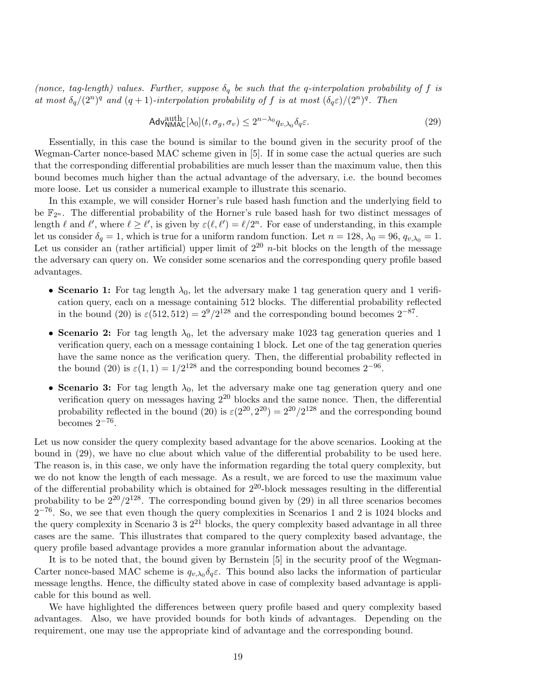(nonce, tag-length) values. Further, suppose  $\delta_q$  be such that the q-interpolation probability of f is at most  $\delta_q/(2^n)^q$  and  $(q+1)$ -interpolation probability of f is at most  $(\delta_q \varepsilon)/(2^n)^q$ . Then

$$
\mathsf{Adv}_{\mathsf{NMAC}}^{\text{auth}}[\lambda_0](t, \sigma_g, \sigma_v) \le 2^{n-\lambda_0} q_{v, \lambda_0} \delta_q \varepsilon. \tag{29}
$$

Essentially, in this case the bound is similar to the bound given in the security proof of the Wegman-Carter nonce-based MAC scheme given in [5]. If in some case the actual queries are such that the corresponding differential probabilities are much lesser than the maximum value, then this bound becomes much higher than the actual advantage of the adversary, i.e. the bound becomes more loose. Let us consider a numerical example to illustrate this scenario.

In this example, we will consider Horner's rule based hash function and the underlying field to be  $\mathbb{F}_{2^n}$ . The differential probability of the Horner's rule based hash for two distinct messages of length  $\ell$  and  $\ell'$ , where  $\ell \geq \ell'$ , is given by  $\varepsilon(\ell, \ell') = \ell/2^n$ . For ease of understanding, in this example let us consider  $\delta_q = 1$ , which is true for a uniform random function. Let  $n = 128$ ,  $\lambda_0 = 96$ ,  $q_{v,\lambda_0} = 1$ . Let us consider an (rather artificial) upper limit of  $2^{20}$  *n*-bit blocks on the length of the message the adversary can query on. We consider some scenarios and the corresponding query profile based advantages.

- Scenario 1: For tag length  $\lambda_0$ , let the adversary make 1 tag generation query and 1 verification query, each on a message containing 512 blocks. The differential probability reflected in the bound (20) is  $\varepsilon(512, 512) = 2^9/2^{128}$  and the corresponding bound becomes  $2^{-87}$ .
- Scenario 2: For tag length  $\lambda_0$ , let the adversary make 1023 tag generation queries and 1 verification query, each on a message containing 1 block. Let one of the tag generation queries have the same nonce as the verification query. Then, the differential probability reflected in the bound (20) is  $\varepsilon(1,1) = 1/2^{128}$  and the corresponding bound becomes  $2^{-96}$ .
- Scenario 3: For tag length  $\lambda_0$ , let the adversary make one tag generation query and one verification query on messages having  $2^{20}$  blocks and the same nonce. Then, the differential probability reflected in the bound (20) is  $\varepsilon(2^{20}, 2^{20}) = 2^{20}/2^{128}$  and the corresponding bound becomes  $2^{-76}$ .

Let us now consider the query complexity based advantage for the above scenarios. Looking at the bound in (29), we have no clue about which value of the differential probability to be used here. The reason is, in this case, we only have the information regarding the total query complexity, but we do not know the length of each message. As a result, we are forced to use the maximum value of the differential probability which is obtained for  $2^{20}$ -block messages resulting in the differential probability to be  $2^{20}/2^{128}$ . The corresponding bound given by  $(29)$  in all three scenarios becomes  $2^{-76}$ . So, we see that even though the query complexities in Scenarios 1 and 2 is 1024 blocks and the query complexity in Scenario 3 is  $2^{21}$  blocks, the query complexity based advantage in all three cases are the same. This illustrates that compared to the query complexity based advantage, the query profile based advantage provides a more granular information about the advantage.

It is to be noted that, the bound given by Bernstein [5] in the security proof of the Wegman-Carter nonce-based MAC scheme is  $q_{v,\lambda_0} \delta_q \varepsilon$ . This bound also lacks the information of particular message lengths. Hence, the difficulty stated above in case of complexity based advantage is applicable for this bound as well.

We have highlighted the differences between query profile based and query complexity based advantages. Also, we have provided bounds for both kinds of advantages. Depending on the requirement, one may use the appropriate kind of advantage and the corresponding bound.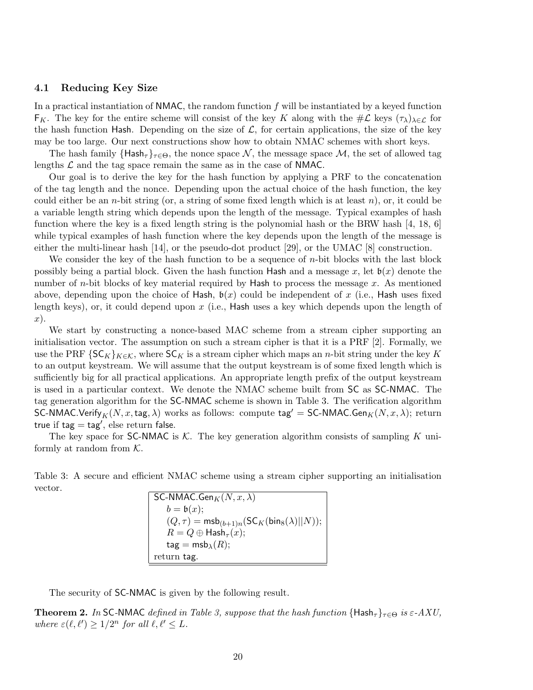### 4.1 Reducing Key Size

In a practical instantiation of  $NMAC$ , the random function f will be instantiated by a keyed function  $F_K$ . The key for the entire scheme will consist of the key K along with the  $\#\mathcal{L}$  keys  $(\tau_\lambda)_{\lambda \in \mathcal{L}}$  for the hash function Hash. Depending on the size of  $\mathcal{L}$ , for certain applications, the size of the key may be too large. Our next constructions show how to obtain NMAC schemes with short keys.

The hash family  $\{\text{Hash}_{\tau}\}_{\tau\in\Theta}$ , the nonce space  $\mathcal{N}$ , the message space  $\mathcal{M}$ , the set of allowed tag lengths  $\mathcal L$  and the tag space remain the same as in the case of NMAC.

Our goal is to derive the key for the hash function by applying a PRF to the concatenation of the tag length and the nonce. Depending upon the actual choice of the hash function, the key could either be an *n*-bit string (or, a string of some fixed length which is at least *n*), or, it could be a variable length string which depends upon the length of the message. Typical examples of hash function where the key is a fixed length string is the polynomial hash or the BRW hash [4, 18, 6] while typical examples of hash function where the key depends upon the length of the message is either the multi-linear hash [14], or the pseudo-dot product [29], or the UMAC [8] construction.

We consider the key of the hash function to be a sequence of  $n$ -bit blocks with the last block possibly being a partial block. Given the hash function Hash and a message x, let  $\mathfrak{b}(x)$  denote the number of *n*-bit blocks of key material required by **Hash** to process the message x. As mentioned above, depending upon the choice of Hash,  $b(x)$  could be independent of x (i.e., Hash uses fixed length keys), or, it could depend upon  $x$  (i.e., Hash uses a key which depends upon the length of x).

We start by constructing a nonce-based MAC scheme from a stream cipher supporting an initialisation vector. The assumption on such a stream cipher is that it is a PRF [2]. Formally, we use the PRF  $\{SC_K\}_{K \in \mathcal{K}}$ , where  $SC_K$  is a stream cipher which maps an *n*-bit string under the key K to an output keystream. We will assume that the output keystream is of some fixed length which is sufficiently big for all practical applications. An appropriate length prefix of the output keystream is used in a particular context. We denote the NMAC scheme built from SC as SC-NMAC. The tag generation algorithm for the SC-NMAC scheme is shown in Table 3. The verification algorithm SC-NMAC.Verify<sub>K</sub>(N, x, tag,  $\lambda$ ) works as follows: compute tag' = SC-NMAC.Gen<sub>K</sub>(N, x,  $\lambda$ ); return true if  $tag = tag',$  else return false.

The key space for SC-NMAC is  $K$ . The key generation algorithm consists of sampling K uniformly at random from  $K$ .

Table 3: A secure and efficient NMAC scheme using a stream cipher supporting an initialisation vector.

SC-NMAC.Gen $_K(N, x, \lambda)$  $b = \mathfrak{b}(x);$  $(Q, \tau) = \text{msb}_{(b+1)n}(\mathsf{SC}_K(\mathsf{bin}_8(\lambda)||N));$  $R = Q \oplus \mathsf{Hash}_{\tau}(x);$  $\mathsf{tag} = \mathsf{msb}_\lambda(R);$ return tag.

The security of SC-NMAC is given by the following result.

**Theorem 2.** In SC-NMAC defined in Table 3, suppose that the hash function  $\{Hash_{\tau}\}_{\tau \in \Theta}$  is  $\varepsilon$ -AXU, where  $\varepsilon(\ell, \ell') \geq 1/2^n$  for all  $\ell, \ell' \leq L$ .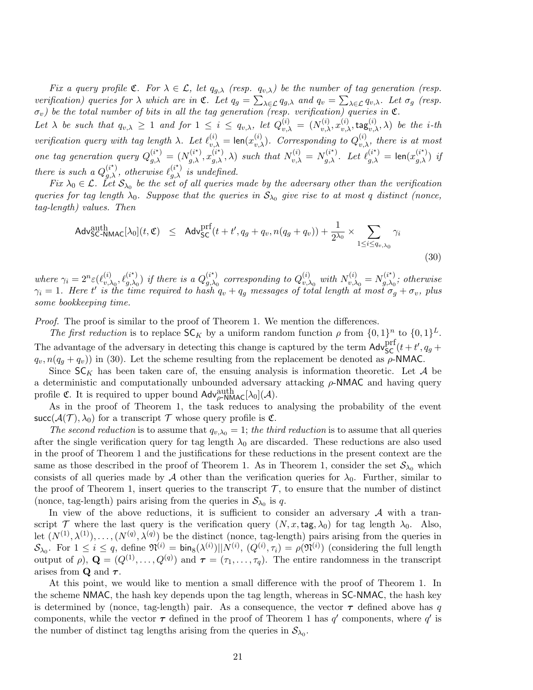Fix a query profile  $\mathfrak{C}$ . For  $\lambda \in \mathcal{L}$ , let  $q_{g,\lambda}$  (resp.  $q_{v,\lambda}$ ) be the number of tag generation (resp. verification) queries for  $\lambda$  which are in  $\mathfrak{C}$ . Let  $q_g = \sum_{\lambda \in \mathcal{L}} q_{g,\lambda}$  and  $q_v = \sum_{\lambda \in \mathcal{L}} q_{v,\lambda}$ . Let  $\sigma_g$  (resp.  $\sigma_v$ ) be the total number of bits in all the tag generation (resp. verification) queries in  $\mathfrak C$ .

Let  $\lambda$  be such that  $q_{v,\lambda} \geq 1$  and for  $1 \leq i \leq q_{v,\lambda}$ , let  $Q_{v,\lambda}^{(i)} = (N_{v,\lambda}^{(i)}, x_{v,\lambda}^{(i)}, \text{tag}_{v,\lambda}^{(i)}, \lambda)$  be the *i*-th verification query with tag length  $\lambda$ . Let  $\ell_{v,\lambda}^{(i)} = \text{len}(x_{v,\lambda}^{(i)})$ . Corresponding to  $Q_{v,\lambda}^{(i)}$ , there is at most one tag generation query  $Q_{g,\lambda}^{(i^*)} = (N_{g,\lambda}^{(i^*)}, x_{g,\lambda}^{(i^*)}, \lambda)$  such that  $N_{v,\lambda}^{(i)} = N_{g,\lambda}^{(i^*)}$ . Let  $\ell_{g,\lambda}^{(i^*)} = \text{len}(x_{g,\lambda}^{(i^*)})$  if there is such a  $Q_{g,\lambda}^{(i)}$ , otherwise  $\ell_{g,\lambda}^{(i)}$  is undefined.  $(i^{\star})$  otherwise  $\ell^{(i^{\star})}$ 

Fix  $\lambda_0 \in \mathcal{L}$ . Let  $\mathcal{S}_{\lambda_0}$  be the set of all queries made by the adversary other than the verification queries for tag length  $\lambda_0$ . Suppose that the queries in  $S_{\lambda_0}$  give rise to at most q distinct (nonce, tag-length) values. Then

$$
\mathsf{Adv}_{\mathsf{SC}\text{-}\mathsf{NMAC}}^{\text{auth}}[\lambda_0](t, \mathfrak{C}) \leq \mathsf{Adv}_{\mathsf{SC}}^{\text{prf}}(t + t', q_g + q_v, n(q_g + q_v)) + \frac{1}{2^{\lambda_0}} \times \sum_{1 \leq i \leq q_v, \lambda_0} \gamma_i
$$
\n(30)

where  $\gamma_i = 2^n \varepsilon(\ell_{v}^{(i)})$  $\chi_{v,\lambda_0}^{(i)}, \ell_{g,\lambda_0}^{(i^\star)}$  $_{g,\lambda_0}^{(i\star)}$ ) if there is a  $Q_{g,\lambda_0}^{(i\star)}$  $_{g,\lambda_{0}}^{(i^{\star})}$  corresponding to  $Q_{v,\lambda}^{(i)}$  $_{v,\lambda_0}^{(i)}$  with  $N_{v,\lambda}^{(i)}$  $v_{v,\lambda_0}^{(i)} = N_{g,\lambda_0}^{(i^*)}$  $\chi_{g,\lambda_0}^{(i^*)}$ ; otherwise  $\gamma_i = 1$ . Here t' is the time required to hash  $q_v + q_g$  messages of total length at most  $\sigma_g + \sigma_v$ , plus some bookkeeping time.

Proof. The proof is similar to the proof of Theorem 1. We mention the differences.

The first reduction is to replace  $SC_K$  by a uniform random function  $\rho$  from  $\{0,1\}^n$  to  $\{0,1\}^L$ . The advantage of the adversary in detecting this change is captured by the term  $\text{Adv}_{\text{SC}}^{\text{prf}}(t+t', q_g+t')$  $q_v, n(q_q + q_v)$  in (30). Let the scheme resulting from the replacement be denoted as  $\rho$ -NMAC.

Since  $SC_K$  has been taken care of, the ensuing analysis is information theoretic. Let A be a deterministic and computationally unbounded adversary attacking  $\rho$ -NMAC and having query profile **C**. It is required to upper bound  $\mathsf{Adv}_{\rho\text{-}NMAC}^{\text{auth}}[\lambda_0](\mathcal{A})$ .

As in the proof of Theorem 1, the task reduces to analysing the probability of the event succ( $\mathcal{A}(\mathcal{T}), \lambda_0$ ) for a transcript  $\mathcal T$  whose query profile is  $\mathfrak{C}$ .

The second reduction is to assume that  $q_{v,\lambda_0} = 1$ ; the third reduction is to assume that all queries after the single verification query for tag length  $\lambda_0$  are discarded. These reductions are also used in the proof of Theorem 1 and the justifications for these reductions in the present context are the same as those described in the proof of Theorem 1. As in Theorem 1, consider the set  $\mathcal{S}_{\lambda_0}$  which consists of all queries made by A other than the verification queries for  $\lambda_0$ . Further, similar to the proof of Theorem 1, insert queries to the transcript  $\mathcal{T}$ , to ensure that the number of distinct (nonce, tag-length) pairs arising from the queries in  $S_{\lambda_0}$  is q.

In view of the above reductions, it is sufficient to consider an adversary  $\mathcal A$  with a transcript T where the last query is the verification query  $(N, x, \text{tag}, \lambda_0)$  for tag length  $\lambda_0$ . Also, let  $(N^{(1)}, \lambda^{(1)}), \ldots, (N^{(q)}, \lambda^{(q)})$  be the distinct (nonce, tag-length) pairs arising from the queries in  $\mathcal{S}_{\lambda_0}$ . For  $1 \leq i \leq q$ , define  $\mathfrak{N}^{(i)} = \text{bin}_8(\lambda^{(i)}) \vert \vert N^{(i)}, (Q^{(i)}, \tau_i) = \rho(\mathfrak{N}^{(i)})$  (considering the full length output of  $\rho$ ),  $\mathbf{Q} = (Q^{(1)}, \ldots, Q^{(q)})$  and  $\boldsymbol{\tau} = (\tau_1, \ldots, \tau_q)$ . The entire randomness in the transcript arises from **Q** and  $\tau$ .

At this point, we would like to mention a small difference with the proof of Theorem 1. In the scheme NMAC, the hash key depends upon the tag length, whereas in SC-NMAC, the hash key is determined by (nonce, tag-length) pair. As a consequence, the vector  $\tau$  defined above has q components, while the vector  $\tau$  defined in the proof of Theorem 1 has q' components, where q' is the number of distinct tag lengths arising from the queries in  $\mathcal{S}_{\lambda_0}$ .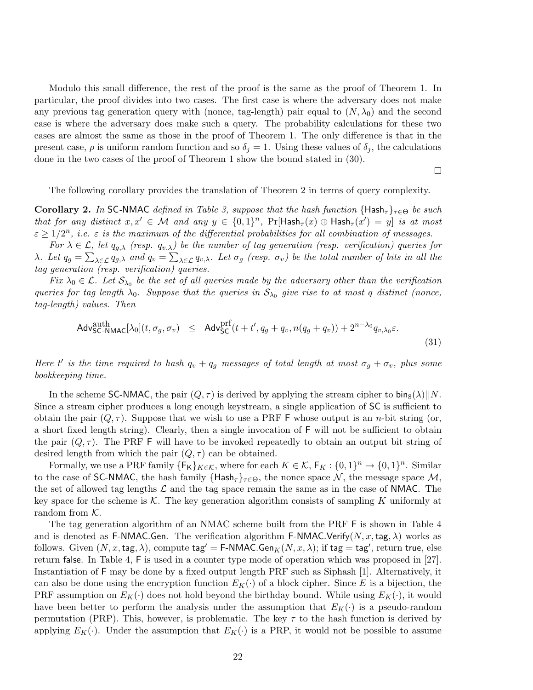Modulo this small difference, the rest of the proof is the same as the proof of Theorem 1. In particular, the proof divides into two cases. The first case is where the adversary does not make any previous tag generation query with (nonce, tag-length) pair equal to  $(N, \lambda_0)$  and the second case is where the adversary does make such a query. The probability calculations for these two cases are almost the same as those in the proof of Theorem 1. The only difference is that in the present case,  $\rho$  is uniform random function and so  $\delta_j = 1$ . Using these values of  $\delta_j$ , the calculations done in the two cases of the proof of Theorem 1 show the bound stated in (30).

 $\Box$ 

The following corollary provides the translation of Theorem 2 in terms of query complexity.

**Corollary 2.** In SC-NMAC defined in Table 3, suppose that the hash function  $\{Hash_{\tau}\}_{\tau \in \Theta}$  be such that for any distinct  $x, x' \in \mathcal{M}$  and any  $y \in \{0,1\}^n$ ,  $\Pr[\mathsf{Hash}_{\tau}(x) \oplus \mathsf{Hash}_{\tau}(x') = y]$  is at most  $\varepsilon \geq 1/2^n$ , i.e.  $\varepsilon$  is the maximum of the differential probabilities for all combination of messages.

For  $\lambda \in \mathcal{L}$ , let  $q_{q,\lambda}$  (resp.  $q_{v,\lambda}$ ) be the number of tag generation (resp. verification) queries for λ. Let  $q_g = \sum_{\lambda \in \mathcal{L}} q_{g,\lambda}$  and  $q_v = \sum_{\lambda \in \mathcal{L}} q_{v,\lambda}$ . Let  $\sigma_g$  (resp.  $\sigma_v$ ) be the total number of bits in all the tag generation (resp. verification) queries.

Fix  $\lambda_0 \in \mathcal{L}$ . Let  $\mathcal{S}_{\lambda_0}$  be the set of all queries made by the adversary other than the verification queries for tag length  $\lambda_0$ . Suppose that the queries in  $S_{\lambda_0}$  give rise to at most q distinct (nonce, tag-length) values. Then

$$
\mathsf{Adv}_{\mathsf{SC}\text{-}\mathsf{NMAC}}^{\text{auth}}[\lambda_0](t, \sigma_g, \sigma_v) \leq \mathsf{Adv}_{\mathsf{SC}}^{\text{prf}}(t + t', q_g + q_v, n(q_g + q_v)) + 2^{n - \lambda_0} q_{v, \lambda_0} \varepsilon. \tag{31}
$$

Here t' is the time required to hash  $q_v + q_g$  messages of total length at most  $\sigma_g + \sigma_v$ , plus some bookkeeping time.

In the scheme SC-NMAC, the pair  $(Q, \tau)$  is derived by applying the stream cipher to bin<sub>8</sub>( $\lambda$ )||N. Since a stream cipher produces a long enough keystream, a single application of SC is sufficient to obtain the pair  $(Q, \tau)$ . Suppose that we wish to use a PRF F whose output is an *n*-bit string (or, a short fixed length string). Clearly, then a single invocation of F will not be sufficient to obtain the pair  $(Q, \tau)$ . The PRF F will have to be invoked repeatedly to obtain an output bit string of desired length from which the pair  $(Q, \tau)$  can be obtained.

Formally, we use a PRF family  $\{\mathsf{F}_{\mathsf{K}}\}_{K\in\mathcal{K}}$ , where for each  $K\in\mathcal{K}$ ,  $\mathsf{F}_{K}:\{0,1\}^{n}\to\{0,1\}^{n}$ . Similar to the case of SC-NMAC, the hash family  $\{Hash_{\tau}\}_{\tau\in\Theta}$ , the nonce space N, the message space M, the set of allowed tag lengths  $\mathcal L$  and the tag space remain the same as in the case of NMAC. The key space for the scheme is  $K$ . The key generation algorithm consists of sampling K uniformly at random from  $K$ .

The tag generation algorithm of an NMAC scheme built from the PRF F is shown in Table 4 and is denoted as F-NMAC.Gen. The verification algorithm F-NMAC.Verify(N, x, tag,  $\lambda$ ) works as follows. Given  $(N, x, \text{tag}, \lambda)$ , compute  $\textsf{tag}' = \textsf{F-NMAC}.$ Gen $_K(N, x, \lambda)$ ; if  $\textsf{tag} = \textsf{tag}'$ , return true, else return false. In Table 4, F is used in a counter type mode of operation which was proposed in [27]. Instantiation of F may be done by a fixed output length PRF such as Siphash [1]. Alternatively, it can also be done using the encryption function  $E_K(\cdot)$  of a block cipher. Since E is a bijection, the PRF assumption on  $E_K(\cdot)$  does not hold beyond the birthday bound. While using  $E_K(\cdot)$ , it would have been better to perform the analysis under the assumption that  $E_K(\cdot)$  is a pseudo-random permutation (PRP). This, however, is problematic. The key  $\tau$  to the hash function is derived by applying  $E_K(\cdot)$ . Under the assumption that  $E_K(\cdot)$  is a PRP, it would not be possible to assume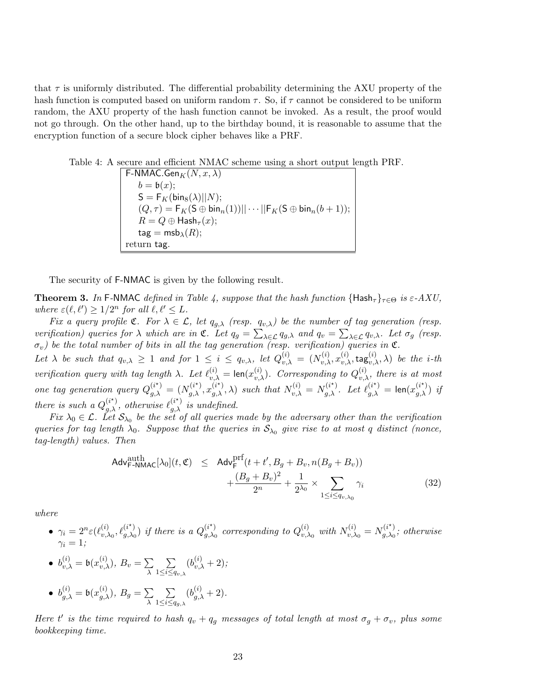that  $\tau$  is uniformly distributed. The differential probability determining the AXU property of the hash function is computed based on uniform random  $\tau$ . So, if  $\tau$  cannot be considered to be uniform random, the AXU property of the hash function cannot be invoked. As a result, the proof would not go through. On the other hand, up to the birthday bound, it is reasonable to assume that the encryption function of a secure block cipher behaves like a PRF.

Table 4: A secure and efficient NMAC scheme using a short output length PRF.

 $\mathsf{F}\text{-}\mathsf{NMAC}.\mathsf{Gen}_K(N,x,\lambda)$  $b = b(x);$  $\mathsf{S} = \mathsf{F}_K(\mathsf{bin}_8(\lambda)||N);$  $(Q, \tau) = \mathsf{F}_K(\mathsf{S} \oplus \mathsf{bin}_n(1)) || \cdots || \mathsf{F}_K(\mathsf{S} \oplus \mathsf{bin}_n(b+1));$  $R = Q \oplus \mathsf{Hash}_{\tau}(x);$  $\mathsf{tag} = \mathsf{msb}_\lambda(R);$ return tag.

The security of F-NMAC is given by the following result.

**Theorem 3.** In F-NMAC defined in Table 4, suppose that the hash function  $\{Hash_{\tau}\}_{\tau\in\Theta}$  is  $\varepsilon$ -AXU, where  $\varepsilon(\ell, \ell') \geq 1/2^n$  for all  $\ell, \ell' \leq L$ .

Fix a query profile  $\mathfrak{C}$ . For  $\lambda \in \mathcal{L}$ , let  $q_{g,\lambda}$  (resp.  $q_{v,\lambda}$ ) be the number of tag generation (resp. verification) queries for  $\lambda$  which are in  $\mathfrak{C}$ . Let  $q_g = \sum_{\lambda \in \mathcal{L}} q_{g,\lambda}$  and  $q_v = \sum_{\lambda \in \mathcal{L}} q_{v,\lambda}$ . Let  $\sigma_g$  (resp.  $\sigma_v$ ) be the total number of bits in all the tag generation (resp. verification) queries in  $\mathfrak C$ .

Let  $\lambda$  be such that  $q_{v,\lambda} \geq 1$  and for  $1 \leq i \leq q_{v,\lambda}$ , let  $Q_{v,\lambda}^{(i)} = (N_{v,\lambda}^{(i)}, x_{v,\lambda}^{(i)}, \text{tag}_{v,\lambda}^{(i)}, \lambda)$  be the *i*-th verification query with tag length  $\lambda$ . Let  $\ell_{v,\lambda}^{(i)} = \text{len}(x_{v,\lambda}^{(i)})$ . Corresponding to  $Q_{v,\lambda}^{(i)}$ , there is at most one tag generation query  $Q_{g,\lambda}^{(i^*)} = (N_{g,\lambda}^{(i^*)}, x_{g,\lambda}^{(i^*)}, \lambda)$  such that  $N_{v,\lambda}^{(i)} = N_{g,\lambda}^{(i^*)}$ . Let  $\ell_{g,\lambda}^{(i^*)} = \text{len}(x_{g,\lambda}^{(i^*)})$  if there is such a  $Q_{g,\lambda}^{(i^*)}$ , otherwise  $\ell_{g,\lambda}^{(i^*)}$  is undefined.  $(i^{\star})$  otherwise  $\ell^{(i^{\star})}$ 

Fix  $\lambda_0 \in \mathcal{L}$ . Let  $\mathcal{S}_{\lambda_0}$  be the set of all queries made by the adversary other than the verification queries for tag length  $\lambda_0$ . Suppose that the queries in  $S_{\lambda_0}$  give rise to at most q distinct (nonce, tag-length) values. Then

$$
\mathsf{Adv}^{\text{auth}}_{\mathsf{F-NMAC}}[\lambda_0](t, \mathfrak{C}) \leq \mathsf{Adv}^{\text{prf}}_{\mathsf{F}}(t+t', B_g + B_v, n(B_g + B_v)) + \frac{(B_g + B_v)^2}{2^n} + \frac{1}{2\lambda_0} \times \sum_{1 \leq i \leq q_{v,\lambda_0}} \gamma_i
$$
\n(32)

where

 $\bullet \ \ \gamma_i = 2^n \varepsilon(\ell^{(i)}_{v.})$  $\chi_{v,\lambda_0}^{(i)}, \ell_{g,\lambda_0}^{(i^\star)}$  $\binom{(i^*)}{g,\lambda_0}$  if there is a  $Q_{g,\lambda_0}^{(i^*)}$  $_{g,\lambda_{0}}^{(i^{\star})}$  corresponding to  $Q_{v,\lambda}^{(i)}$  $_{v,\lambda_0}^{(i)}$  with  $N_{v,\lambda}^{(i)}$  $v_{v,\lambda_0}^{(i)}=N_{g,\lambda_0}^{(i^\star)}$  $\mathcal{L}_{g,\lambda_0}^{(i)}$ ; otherwise  $\gamma_i=1;$ 

• 
$$
b_{v,\lambda}^{(i)} = b(x_{v,\lambda}^{(i)}), B_v = \sum_{\lambda} \sum_{1 \le i \le q_{v,\lambda}} (b_{v,\lambda}^{(i)} + 2);
$$

• 
$$
b_{g,\lambda}^{(i)} = b(x_{g,\lambda}^{(i)}), B_g = \sum_{\lambda} \sum_{1 \leq i \leq q_{g,\lambda}} (b_{g,\lambda}^{(i)} + 2).
$$

Here t' is the time required to hash  $q_v + q_g$  messages of total length at most  $\sigma_g + \sigma_v$ , plus some bookkeeping time.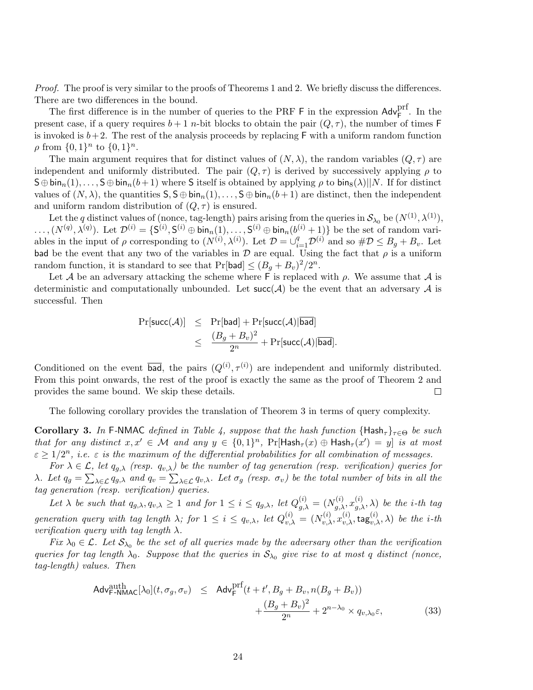Proof. The proof is very similar to the proofs of Theorems 1 and 2. We briefly discuss the differences. There are two differences in the bound.

The first difference is in the number of queries to the PRF  $\mathsf F$  in the expression  $\mathsf{Adv}_{\mathsf{F}}^{\text{prf}}$ . In the present case, if a query requires  $b + 1$  n-bit blocks to obtain the pair  $(Q, \tau)$ , the number of times F is invoked is  $b+2$ . The rest of the analysis proceeds by replacing F with a uniform random function  $\rho$  from  $\{0,1\}^n$  to  $\{0,1\}^n$ .

The main argument requires that for distinct values of  $(N, \lambda)$ , the random variables  $(Q, \tau)$  are independent and uniformly distributed. The pair  $(Q, \tau)$  is derived by successively applying  $\rho$  to  $S \oplus \text{bin}_n(1), \ldots, S \oplus \text{bin}_n(b+1)$  where S itself is obtained by applying  $\rho$  to  $\text{bin}_n(\lambda) || N$ . If for distinct values of  $(N, \lambda)$ , the quantities  $S, S \oplus \text{bin}_{n}(1), \ldots, S \oplus \text{bin}_{n}(b+1)$  are distinct, then the independent and uniform random distribution of  $(Q, \tau)$  is ensured.

Let the q distinct values of (nonce, tag-length) pairs arising from the queries in  $\mathcal{S}_{\lambda_0}$  be  $(N^{(1)}, \lambda^{(1)})$ .  $\ldots, (N^{(q)}, \lambda^{(q)})$ . Let  $\mathcal{D}^{(i)} = \{S^{(i)}, S^{(i)} \oplus \text{bin}_n(1), \ldots, S^{(i)} \oplus \text{bin}_n(b^{(i)}+1)\}$  be the set of random variables in the input of  $\rho$  corresponding to  $(N^{(i)}, \lambda^{(i)})$ . Let  $\mathcal{D} = \bigcup_{i=1}^q \mathcal{D}^{(i)}$  and so  $\#\mathcal{D} \leq B_g + B_v$ . Let bad be the event that any two of the variables in  $\mathcal D$  are equal. Using the fact that  $\rho$  is a uniform random function, it is standard to see that  $Pr[bad] \leq (B_g + B_v)^2/2^n$ .

Let A be an adversary attacking the scheme where F is replaced with  $\rho$ . We assume that A is deterministic and computationally unbounded. Let  $succ(A)$  be the event that an adversary A is successful. Then

$$
\begin{array}{rcl}\n\Pr[\mathsf{succ}(\mathcal{A})] & \leq & \Pr[\mathsf{bad}] + \Pr[\mathsf{succ}(\mathcal{A}) | \mathsf{bad}] \\
& \leq & \frac{(B_g + B_v)^2}{2^n} + \Pr[\mathsf{succ}(\mathcal{A}) | \overline{\mathsf{bad}}].\n\end{array}
$$

Conditioned on the event  $\overline{\mathbf{bad}}$ , the pairs  $(Q^{(i)}, \tau^{(i)})$  are independent and uniformly distributed. From this point onwards, the rest of the proof is exactly the same as the proof of Theorem 2 and provides the same bound. We skip these details.  $\Box$ 

The following corollary provides the translation of Theorem 3 in terms of query complexity.

**Corollary 3.** In F-NMAC defined in Table 4, suppose that the hash function  $\{Hash_{\tau}\}_{\tau\in\Theta}$  be such that for any distinct  $x, x' \in \mathcal{M}$  and any  $y \in \{0,1\}^n$ ,  $\Pr[\mathsf{Hash}_{\tau}(x) \oplus \mathsf{Hash}_{\tau}(x') = y]$  is at most  $\varepsilon \geq 1/2^n$ , i.e.  $\varepsilon$  is the maximum of the differential probabilities for all combination of messages.

For  $\lambda \in \mathcal{L}$ , let  $q_{q,\lambda}$  (resp.  $q_{v,\lambda}$ ) be the number of tag generation (resp. verification) queries for λ. Let  $q_g = \sum_{\lambda \in \mathcal{L}} q_{g,\lambda}$  and  $q_v = \sum_{\lambda \in \mathcal{L}} q_{v,\lambda}$ . Let  $\sigma_g$  (resp.  $\sigma_v$ ) be the total number of bits in all the tag generation (resp. verification) queries.

Let  $\lambda$  be such that  $q_{g,\lambda}, q_{v,\lambda} \geq 1$  and for  $1 \leq i \leq q_{g,\lambda}$ , let  $Q_{g,\lambda}^{(i)} = (N_{g,\lambda}^{(i)}, x_{g,\lambda}^{(i)}, \lambda)$  be the *i*-th tag generation query with tag length  $\lambda$ ; for  $1 \leq i \leq q_{v,\lambda}$ , let  $Q_{v,\lambda}^{(i)} = (N_{v,\lambda}^{(i)}, x_{v,\lambda}^{(i)}, \mathsf{tag}_{v,\lambda}^{(i)}, \lambda)$  be the *i*-th verification query with tag length  $\lambda$ .

Fix  $\lambda_0 \in \mathcal{L}$ . Let  $\mathcal{S}_{\lambda_0}$  be the set of all queries made by the adversary other than the verification queries for tag length  $\lambda_0$ . Suppose that the queries in  $S_{\lambda_0}$  give rise to at most q distinct (nonce, tag-length) values. Then

$$
\mathsf{Adv}_{\mathsf{F-NMAC}}^{\text{auth}}[\lambda_0](t, \sigma_g, \sigma_v) \leq \mathsf{Adv}_{\mathsf{F}}^{\text{prf}}(t + t', B_g + B_v, n(B_g + B_v)) + \frac{(B_g + B_v)^2}{2^n} + 2^{n - \lambda_0} \times q_{v, \lambda_0} \varepsilon,
$$
\n(33)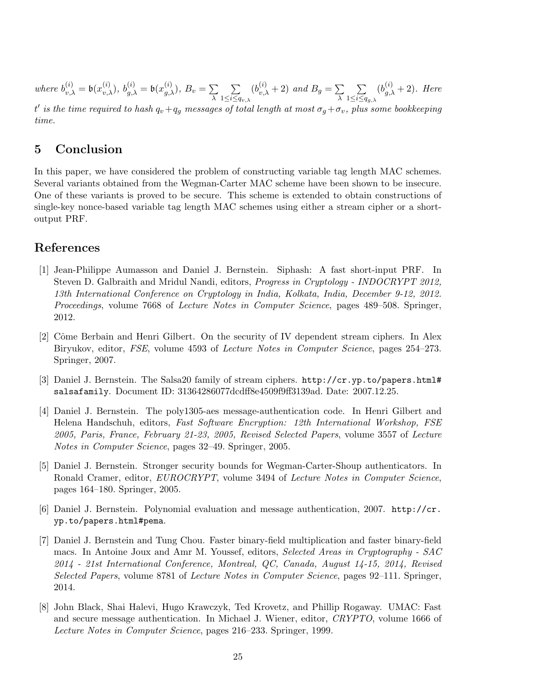where  $b_{v,\lambda}^{(i)} = \mathfrak{b}(x_{v,\lambda}^{(i)}), b_{g,\lambda}^{(i)} = \mathfrak{b}(x_{g,\lambda}^{(i)}), B_v = \sum_{\lambda}$ λ  $\sum$  $1\leq i\leq q_{v,\lambda}$  $(b_{v,\lambda}^{(i)}+2)$  and  $B_g = \sum_{\lambda}$ λ  $\sum$  $1\leq i\leq q_{g,\lambda}$  $(b_{g,\lambda}^{(i)}+2)$ . Here t' is the time required to hash  $q_v+q_g$  messages of total length at most  $\sigma_g+\sigma_v$ , plus some bookkeeping

time.

## 5 Conclusion

In this paper, we have considered the problem of constructing variable tag length MAC schemes. Several variants obtained from the Wegman-Carter MAC scheme have been shown to be insecure. One of these variants is proved to be secure. This scheme is extended to obtain constructions of single-key nonce-based variable tag length MAC schemes using either a stream cipher or a shortoutput PRF.

### References

- [1] Jean-Philippe Aumasson and Daniel J. Bernstein. Siphash: A fast short-input PRF. In Steven D. Galbraith and Mridul Nandi, editors, Progress in Cryptology - INDOCRYPT 2012, 13th International Conference on Cryptology in India, Kolkata, India, December 9-12, 2012. Proceedings, volume 7668 of Lecture Notes in Computer Science, pages 489–508. Springer, 2012.
- [2] Cˆome Berbain and Henri Gilbert. On the security of IV dependent stream ciphers. In Alex Biryukov, editor, FSE, volume 4593 of Lecture Notes in Computer Science, pages 254–273. Springer, 2007.
- [3] Daniel J. Bernstein. The Salsa20 family of stream ciphers. http://cr.yp.to/papers.html# salsafamily. Document ID: 31364286077dcdff8e4509f9ff3139ad. Date: 2007.12.25.
- [4] Daniel J. Bernstein. The poly1305-aes message-authentication code. In Henri Gilbert and Helena Handschuh, editors, Fast Software Encryption: 12th International Workshop, FSE 2005, Paris, France, February 21-23, 2005, Revised Selected Papers, volume 3557 of Lecture Notes in Computer Science, pages 32–49. Springer, 2005.
- [5] Daniel J. Bernstein. Stronger security bounds for Wegman-Carter-Shoup authenticators. In Ronald Cramer, editor, EUROCRYPT, volume 3494 of Lecture Notes in Computer Science, pages 164–180. Springer, 2005.
- [6] Daniel J. Bernstein. Polynomial evaluation and message authentication, 2007. http://cr. yp.to/papers.html#pema.
- [7] Daniel J. Bernstein and Tung Chou. Faster binary-field multiplication and faster binary-field macs. In Antoine Joux and Amr M. Youssef, editors, Selected Areas in Cryptography - SAC 2014 - 21st International Conference, Montreal, QC, Canada, August 14-15, 2014, Revised Selected Papers, volume 8781 of Lecture Notes in Computer Science, pages 92–111. Springer, 2014.
- [8] John Black, Shai Halevi, Hugo Krawczyk, Ted Krovetz, and Phillip Rogaway. UMAC: Fast and secure message authentication. In Michael J. Wiener, editor, CRYPTO, volume 1666 of Lecture Notes in Computer Science, pages 216–233. Springer, 1999.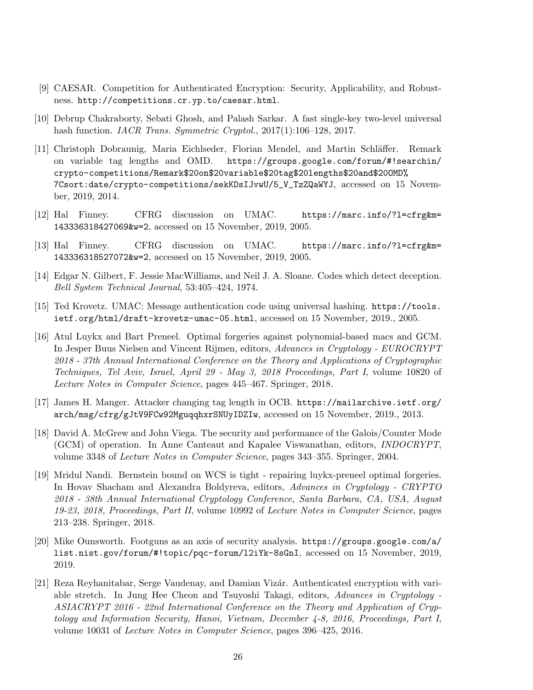- [9] CAESAR. Competition for Authenticated Encryption: Security, Applicability, and Robustness. http://competitions.cr.yp.to/caesar.html.
- [10] Debrup Chakraborty, Sebati Ghosh, and Palash Sarkar. A fast single-key two-level universal hash function. *IACR Trans. Symmetric Cryptol.*, 2017(1):106–128, 2017.
- [11] Christoph Dobraunig, Maria Eichlseder, Florian Mendel, and Martin Schl¨affer. Remark on variable tag lengths and OMD. https://groups.google.com/forum/#!searchin/ crypto-competitions/Remark\$20on\$20variable\$20tag\$20lengths\$20and\$20OMD% 7Csort:date/crypto-competitions/sekKDsIJvwU/5\_V\_TzZQaWYJ, accessed on 15 November, 2019, 2014.
- [12] Hal Finney. CFRG discussion on UMAC. https://marc.info/?l=cfrg&m= 143336318427069&w=2, accessed on 15 November, 2019, 2005.
- [13] Hal Finney. CFRG discussion on UMAC. https://marc.info/?l=cfrg&m= 143336318527072&w=2, accessed on 15 November, 2019, 2005.
- [14] Edgar N. Gilbert, F. Jessie MacWilliams, and Neil J. A. Sloane. Codes which detect deception. Bell System Technical Journal, 53:405–424, 1974.
- [15] Ted Krovetz. UMAC: Message authentication code using universal hashing. https://tools. ietf.org/html/draft-krovetz-umac-05.html, accessed on 15 November, 2019., 2005.
- [16] Atul Luykx and Bart Preneel. Optimal forgeries against polynomial-based macs and GCM. In Jesper Buus Nielsen and Vincent Rijmen, editors, Advances in Cryptology - EUROCRYPT 2018 - 37th Annual International Conference on the Theory and Applications of Cryptographic Techniques, Tel Aviv, Israel, April 29 - May 3, 2018 Proceedings, Part I, volume 10820 of Lecture Notes in Computer Science, pages 445–467. Springer, 2018.
- [17] James H. Manger. Attacker changing tag length in OCB. https://mailarchive.ietf.org/ arch/msg/cfrg/gJtV9FCw92MguqqhxrSNUyIDZIw, accessed on 15 November, 2019., 2013.
- [18] David A. McGrew and John Viega. The security and performance of the Galois/Counter Mode (GCM) of operation. In Anne Canteaut and Kapalee Viswanathan, editors, INDOCRYPT, volume 3348 of Lecture Notes in Computer Science, pages 343–355. Springer, 2004.
- [19] Mridul Nandi. Bernstein bound on WCS is tight repairing luykx-preneel optimal forgeries. In Hovav Shacham and Alexandra Boldyreva, editors, Advances in Cryptology - CRYPTO 2018 - 38th Annual International Cryptology Conference, Santa Barbara, CA, USA, August 19-23, 2018, Proceedings, Part II, volume 10992 of Lecture Notes in Computer Science, pages 213–238. Springer, 2018.
- [20] Mike Ounsworth. Footguns as an axis of security analysis. https://groups.google.com/a/ list.nist.gov/forum/#!topic/pqc-forum/l2iYk-8sGnI, accessed on 15 November, 2019, 2019.
- [21] Reza Reyhanitabar, Serge Vaudenay, and Damian Vizár. Authenticated encryption with variable stretch. In Jung Hee Cheon and Tsuyoshi Takagi, editors, Advances in Cryptology - ASIACRYPT 2016 - 22nd International Conference on the Theory and Application of Cryptology and Information Security, Hanoi, Vietnam, December 4-8, 2016, Proceedings, Part I, volume 10031 of Lecture Notes in Computer Science, pages 396–425, 2016.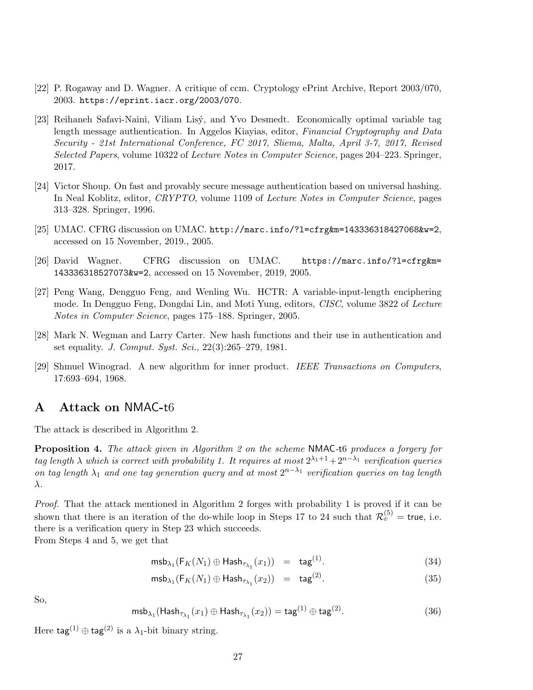- [22] P. Rogaway and D. Wagner. A critique of ccm. Cryptology ePrint Archive, Report 2003/070, 2003. https://eprint.iacr.org/2003/070.
- [23] Reihaneh Safavi-Naini, Viliam Lisý, and Yvo Desmedt. Economically optimal variable tag length message authentication. In Aggelos Kiayias, editor, Financial Cryptography and Data Security - 21st International Conference, FC 2017, Sliema, Malta, April 3-7, 2017, Revised Selected Papers, volume 10322 of Lecture Notes in Computer Science, pages 204–223. Springer, 2017.
- [24] Victor Shoup. On fast and provably secure message authentication based on universal hashing. In Neal Koblitz, editor, CRYPTO, volume 1109 of Lecture Notes in Computer Science, pages 313–328. Springer, 1996.
- [25] UMAC. CFRG discussion on UMAC. http://marc.info/?l=cfrg&m=143336318427068&w=2, accessed on 15 November, 2019., 2005.
- [26] David Wagner. CFRG discussion on UMAC. https://marc.info/?l=cfrg&m= 143336318527073&w=2, accessed on 15 November, 2019, 2005.
- [27] Peng Wang, Dengguo Feng, and Wenling Wu. HCTR: A variable-input-length enciphering mode. In Dengguo Feng, Dongdai Lin, and Moti Yung, editors, CISC, volume 3822 of Lecture Notes in Computer Science, pages 175–188. Springer, 2005.
- [28] Mark N. Wegman and Larry Carter. New hash functions and their use in authentication and set equality. J. Comput. Syst. Sci., 22(3):265–279, 1981.
- [29] Shmuel Winograd. A new algorithm for inner product. IEEE Transactions on Computers, 17:693–694, 1968.

### A Attack on NMAC-t6

The attack is described in Algorithm 2.

Proposition 4. The attack given in Algorithm 2 on the scheme NMAC-t6 produces a forgery for tag length  $\lambda$  which is correct with probability 1. It requires at most  $2^{\lambda_1+1}+2^{n-\lambda_1}$  verification queries on tag length  $\lambda_1$  and one tag generation query and at most  $2^{n-\lambda_1}$  verification queries on tag length λ.

Proof. That the attack mentioned in Algorithm 2 forges with probability 1 is proved if it can be shown that there is an iteration of the do-while loop in Steps 17 to 24 such that  $\mathcal{R}_v^{(5)} =$  true, i.e. there is a verification query in Step 23 which succeeds.

From Steps 4 and 5, we get that

$$
\mathrm{msb}_{\lambda_1}(\mathsf{F}_K(N_1) \oplus \mathsf{Hash}_{\tau_{\lambda_1}}(x_1)) = \mathrm{tag}^{(1)}.
$$
 (34)

$$
\mathrm{msb}_{\lambda_1}(\mathsf{F}_K(N_1) \oplus \mathsf{Hash}_{\tau_{\lambda_1}}(x_2)) = \mathrm{tag}^{(2)}.
$$
 (35)

So,

$$
\mathsf{msb}_{\lambda_1}(\mathsf{Hash}_{\tau_{\lambda_1}}(x_1) \oplus \mathsf{Hash}_{\tau_{\lambda_1}}(x_2)) = \mathsf{tag}^{(1)} \oplus \mathsf{tag}^{(2)}.
$$
 (36)

Here  $\text{tag}^{(1)} \oplus \text{tag}^{(2)}$  is a  $\lambda_1$ -bit binary string.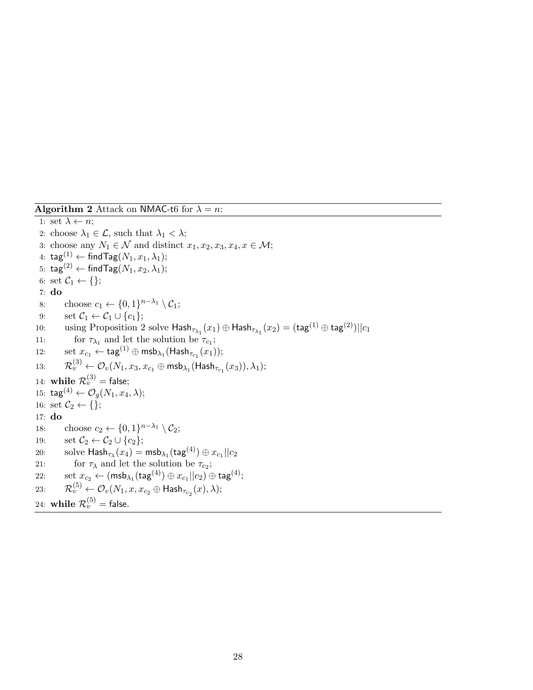**Algorithm 2** Attack on NMAC-t6 for  $\lambda = n$ :

1: set  $\lambda \leftarrow n$ ; 2: choose  $\lambda_1 \in \mathcal{L}$ , such that  $\lambda_1 < \lambda$ ; 3: choose any  $N_1 \in \mathcal{N}$  and distinct  $x_1, x_2, x_3, x_4, x \in \mathcal{M}$ ; 4:  $\text{tag}^{(1)} \leftarrow \text{findTag}(N_1, x_1, \lambda_1);$ 5: tag<sup>(2)</sup> ← findTag( $N_1, x_2, \lambda_1$ ); 6: set  $C_1 \leftarrow \{\};$ 7: do 8: choose  $c_1 \leftarrow \{0,1\}^{n-\lambda_1} \setminus C_1;$ 9: set  $C_1 \leftarrow C_1 \cup \{c_1\};$ 10: using Proposition 2 solve  $\mathsf{Hash}_{\tau_{\lambda_1}}(x_1) \oplus \mathsf{Hash}_{\tau_{\lambda_1}}(x_2) = (\mathsf{tag}^{(1)} \oplus \mathsf{tag}^{(2)})||c_1$ 11: for  $\tau_{\lambda_1}$  and let the solution be  $\tau_{c_1}$ ; 12:  $\qquad \text{set } x_{c_1} \leftarrow \textsf{tag}^{(1)} \oplus \textsf{msb}_{\lambda_1}(\textsf{Hash}_{\tau_{c_1}}(x_1));$ 13:  $\mathcal{R}_v^{(3)} \leftarrow \mathcal{O}_v(N_1,x_3,x_{c_1} \oplus \mathsf{msb}_{\lambda_1}(\mathsf{Hash}_{\tau_{c_1}}(x_3)),\lambda_1);$ 14:  $\textbf{while} \ \mathcal{R}_v^{(3)} = \textsf{false};$ 15:  $\text{tag}^{(4)} \leftarrow \mathcal{O}_q(N_1, x_4, \lambda);$ 16: set  $\mathcal{C}_2 \leftarrow \{\};$ 17: do 18: choose  $c_2 \leftarrow \{0,1\}^{n-\lambda_1} \setminus C_2$ ; 19: set  $C_2 \leftarrow C_2 \cup \{c_2\};$  $\text{20:}\qquad \text{solve } \mathsf{Hash}_{\tau_{\lambda}}(x_4) = \mathsf{msb}_{\lambda_1}(\mathsf{tag}^{(4)}) \oplus x_{c_1} || c_2$ 21: for  $\tau_{\lambda}$  and let the solution be  $\tau_{c_2}$ ;  $22: \qquad \text{set } x_{c_2} \leftarrow (\textsf{msb}_{\lambda_1}(\textsf{tag}^{(4)}) \oplus x_{c_1} || c_2) \oplus \textsf{tag}^{(4)};$ 23:  $\mathcal{R}_v^{(5)} \leftarrow \mathcal{O}_v(N_1,x,x_{c_2} \oplus \mathsf{Hash}_{\tau_{c_2}}(x),\lambda);$ 24: while  $\mathcal{R}_v^{(5)}=$  false.